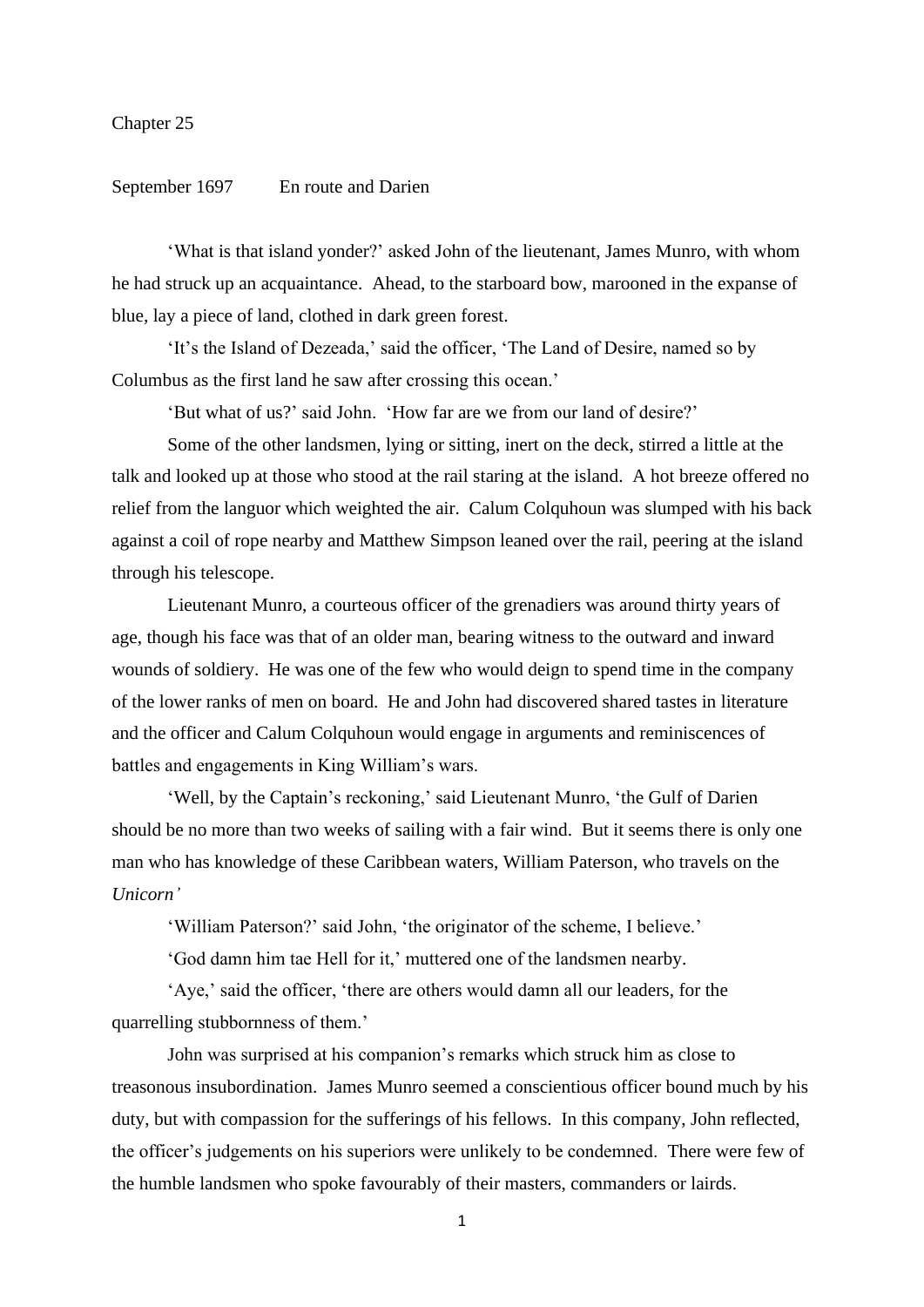## Chapter 25

## September 1697 En route and Darien

'What is that island yonder?' asked John of the lieutenant, James Munro, with whom he had struck up an acquaintance. Ahead, to the starboard bow, marooned in the expanse of blue, lay a piece of land, clothed in dark green forest.

'It's the Island of Dezeada,' said the officer, 'The Land of Desire, named so by Columbus as the first land he saw after crossing this ocean.'

'But what of us?' said John. 'How far are we from our land of desire?'

Some of the other landsmen, lying or sitting, inert on the deck, stirred a little at the talk and looked up at those who stood at the rail staring at the island. A hot breeze offered no relief from the languor which weighted the air. Calum Colquhoun was slumped with his back against a coil of rope nearby and Matthew Simpson leaned over the rail, peering at the island through his telescope.

Lieutenant Munro, a courteous officer of the grenadiers was around thirty years of age, though his face was that of an older man, bearing witness to the outward and inward wounds of soldiery. He was one of the few who would deign to spend time in the company of the lower ranks of men on board. He and John had discovered shared tastes in literature and the officer and Calum Colquhoun would engage in arguments and reminiscences of battles and engagements in King William's wars.

'Well, by the Captain's reckoning,' said Lieutenant Munro, 'the Gulf of Darien should be no more than two weeks of sailing with a fair wind. But it seems there is only one man who has knowledge of these Caribbean waters, William Paterson, who travels on the *Unicorn'*

'William Paterson?' said John, 'the originator of the scheme, I believe.'

'God damn him tae Hell for it,' muttered one of the landsmen nearby.

'Aye,' said the officer, 'there are others would damn all our leaders, for the quarrelling stubbornness of them.'

John was surprised at his companion's remarks which struck him as close to treasonous insubordination. James Munro seemed a conscientious officer bound much by his duty, but with compassion for the sufferings of his fellows. In this company, John reflected, the officer's judgements on his superiors were unlikely to be condemned. There were few of the humble landsmen who spoke favourably of their masters, commanders or lairds.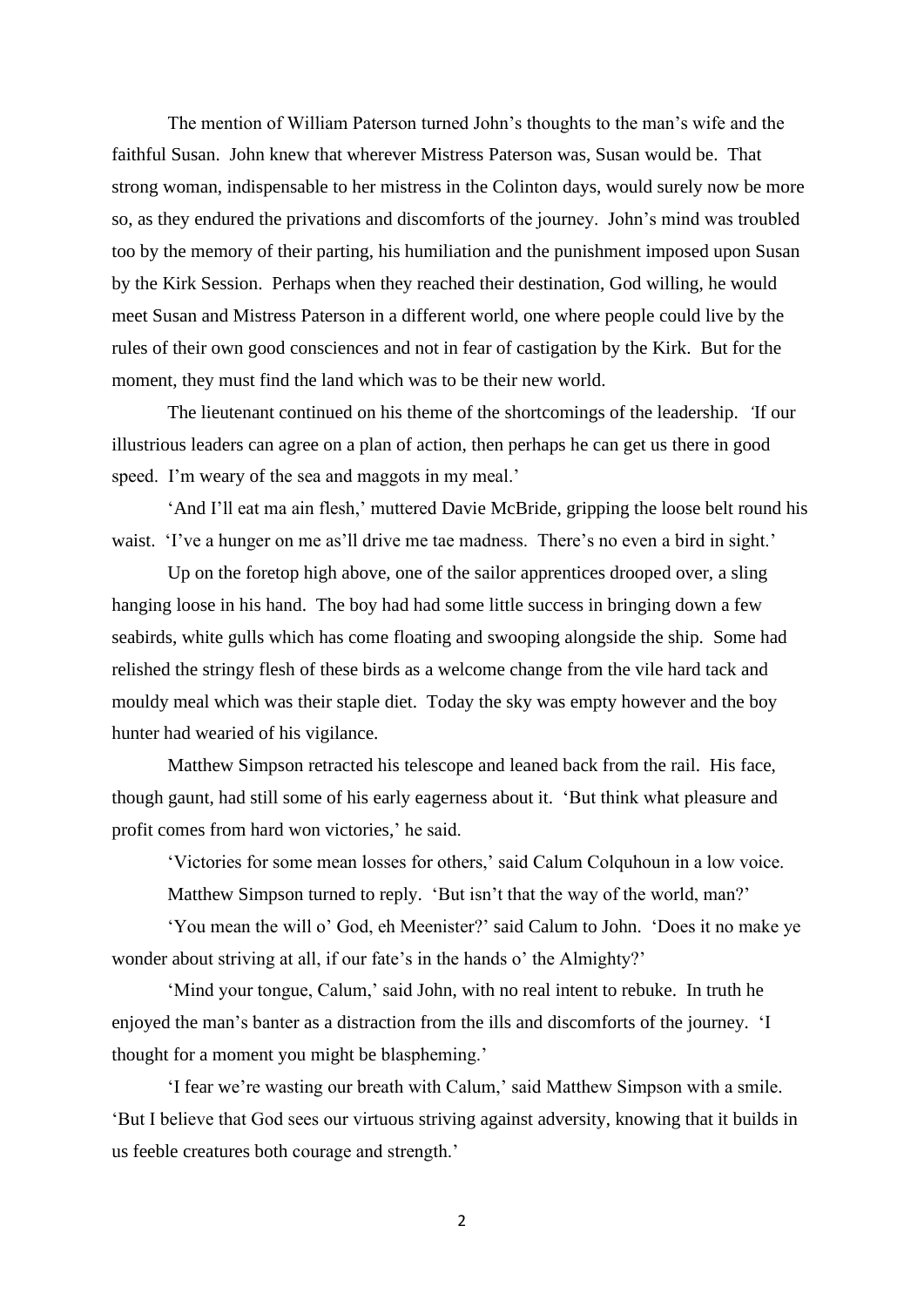The mention of William Paterson turned John's thoughts to the man's wife and the faithful Susan. John knew that wherever Mistress Paterson was, Susan would be. That strong woman, indispensable to her mistress in the Colinton days, would surely now be more so, as they endured the privations and discomforts of the journey. John's mind was troubled too by the memory of their parting, his humiliation and the punishment imposed upon Susan by the Kirk Session. Perhaps when they reached their destination, God willing, he would meet Susan and Mistress Paterson in a different world, one where people could live by the rules of their own good consciences and not in fear of castigation by the Kirk. But for the moment, they must find the land which was to be their new world.

The lieutenant continued on his theme of the shortcomings of the leadership. *'*If our illustrious leaders can agree on a plan of action, then perhaps he can get us there in good speed. I'm weary of the sea and maggots in my meal.'

'And I'll eat ma ain flesh,' muttered Davie McBride, gripping the loose belt round his waist. 'I've a hunger on me as'll drive me tae madness. There's no even a bird in sight.'

Up on the foretop high above, one of the sailor apprentices drooped over, a sling hanging loose in his hand. The boy had had some little success in bringing down a few seabirds, white gulls which has come floating and swooping alongside the ship. Some had relished the stringy flesh of these birds as a welcome change from the vile hard tack and mouldy meal which was their staple diet. Today the sky was empty however and the boy hunter had wearied of his vigilance.

Matthew Simpson retracted his telescope and leaned back from the rail. His face, though gaunt, had still some of his early eagerness about it. 'But think what pleasure and profit comes from hard won victories,' he said.

'Victories for some mean losses for others,' said Calum Colquhoun in a low voice.

Matthew Simpson turned to reply. 'But isn't that the way of the world, man?'

'You mean the will o' God, eh Meenister?' said Calum to John. 'Does it no make ye wonder about striving at all, if our fate's in the hands o' the Almighty?'

'Mind your tongue, Calum,' said John, with no real intent to rebuke. In truth he enjoyed the man's banter as a distraction from the ills and discomforts of the journey. 'I thought for a moment you might be blaspheming.'

'I fear we're wasting our breath with Calum,' said Matthew Simpson with a smile. 'But I believe that God sees our virtuous striving against adversity, knowing that it builds in us feeble creatures both courage and strength.'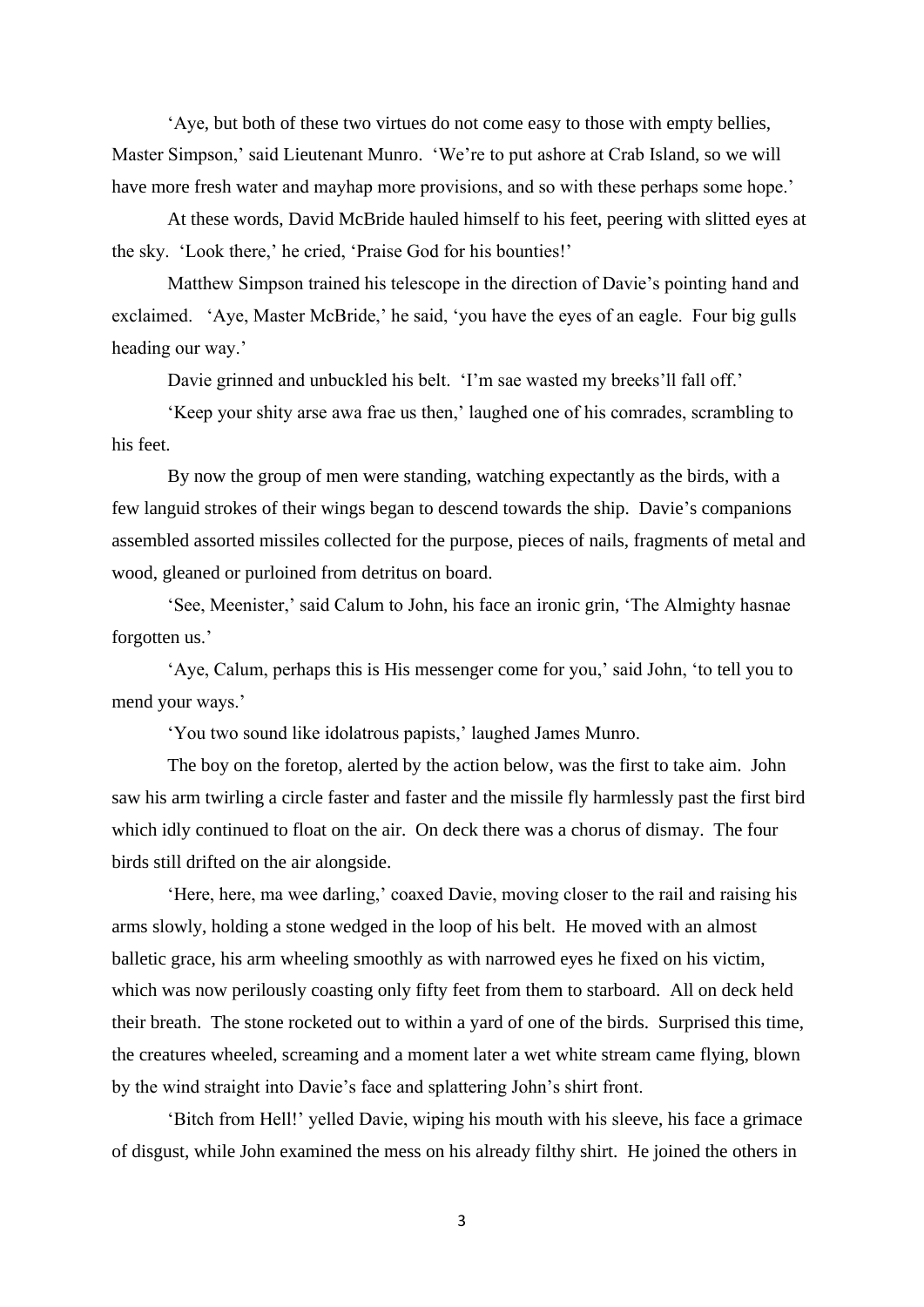'Aye, but both of these two virtues do not come easy to those with empty bellies, Master Simpson,' said Lieutenant Munro. 'We're to put ashore at Crab Island, so we will have more fresh water and mayhap more provisions, and so with these perhaps some hope.'

At these words, David McBride hauled himself to his feet, peering with slitted eyes at the sky. 'Look there,' he cried, 'Praise God for his bounties!'

Matthew Simpson trained his telescope in the direction of Davie's pointing hand and exclaimed. 'Aye, Master McBride,' he said, 'you have the eyes of an eagle. Four big gulls heading our way.'

Davie grinned and unbuckled his belt. 'I'm sae wasted my breeks'll fall off.'

'Keep your shity arse awa frae us then,' laughed one of his comrades, scrambling to his feet.

By now the group of men were standing, watching expectantly as the birds, with a few languid strokes of their wings began to descend towards the ship. Davie's companions assembled assorted missiles collected for the purpose, pieces of nails, fragments of metal and wood, gleaned or purloined from detritus on board.

'See, Meenister,' said Calum to John, his face an ironic grin, 'The Almighty hasnae forgotten us.'

'Aye, Calum, perhaps this is His messenger come for you,' said John, 'to tell you to mend your ways.'

'You two sound like idolatrous papists,' laughed James Munro.

The boy on the foretop, alerted by the action below, was the first to take aim. John saw his arm twirling a circle faster and faster and the missile fly harmlessly past the first bird which idly continued to float on the air. On deck there was a chorus of dismay. The four birds still drifted on the air alongside.

'Here, here, ma wee darling,' coaxed Davie, moving closer to the rail and raising his arms slowly, holding a stone wedged in the loop of his belt. He moved with an almost balletic grace, his arm wheeling smoothly as with narrowed eyes he fixed on his victim, which was now perilously coasting only fifty feet from them to starboard. All on deck held their breath. The stone rocketed out to within a yard of one of the birds. Surprised this time, the creatures wheeled, screaming and a moment later a wet white stream came flying, blown by the wind straight into Davie's face and splattering John's shirt front.

'Bitch from Hell!' yelled Davie, wiping his mouth with his sleeve, his face a grimace of disgust, while John examined the mess on his already filthy shirt. He joined the others in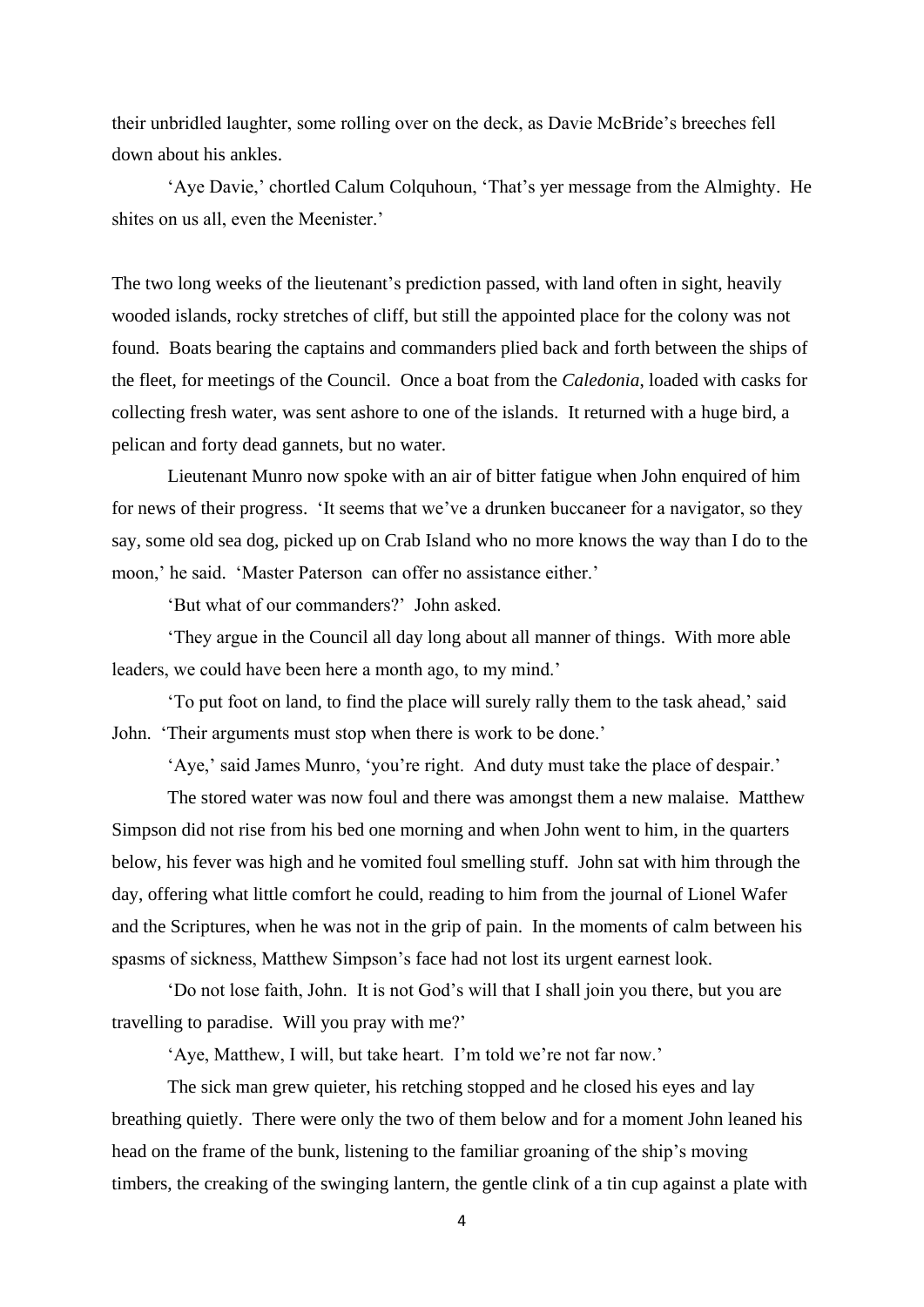their unbridled laughter, some rolling over on the deck, as Davie McBride's breeches fell down about his ankles.

'Aye Davie,' chortled Calum Colquhoun, 'That's yer message from the Almighty. He shites on us all, even the Meenister.'

The two long weeks of the lieutenant's prediction passed, with land often in sight, heavily wooded islands, rocky stretches of cliff, but still the appointed place for the colony was not found. Boats bearing the captains and commanders plied back and forth between the ships of the fleet, for meetings of the Council. Once a boat from the *Caledonia*, loaded with casks for collecting fresh water, was sent ashore to one of the islands. It returned with a huge bird, a pelican and forty dead gannets, but no water.

Lieutenant Munro now spoke with an air of bitter fatigue when John enquired of him for news of their progress. 'It seems that we've a drunken buccaneer for a navigator, so they say, some old sea dog, picked up on Crab Island who no more knows the way than I do to the moon,' he said. 'Master Paterson can offer no assistance either.'

'But what of our commanders?' John asked.

'They argue in the Council all day long about all manner of things. With more able leaders, we could have been here a month ago, to my mind.'

'To put foot on land, to find the place will surely rally them to the task ahead,' said John. 'Their arguments must stop when there is work to be done.'

'Aye,' said James Munro, 'you're right. And duty must take the place of despair.'

The stored water was now foul and there was amongst them a new malaise. Matthew Simpson did not rise from his bed one morning and when John went to him, in the quarters below, his fever was high and he vomited foul smelling stuff. John sat with him through the day, offering what little comfort he could, reading to him from the journal of Lionel Wafer and the Scriptures, when he was not in the grip of pain. In the moments of calm between his spasms of sickness, Matthew Simpson's face had not lost its urgent earnest look.

'Do not lose faith, John. It is not God's will that I shall join you there, but you are travelling to paradise. Will you pray with me?'

'Aye, Matthew, I will, but take heart. I'm told we're not far now.'

The sick man grew quieter, his retching stopped and he closed his eyes and lay breathing quietly. There were only the two of them below and for a moment John leaned his head on the frame of the bunk, listening to the familiar groaning of the ship's moving timbers, the creaking of the swinging lantern, the gentle clink of a tin cup against a plate with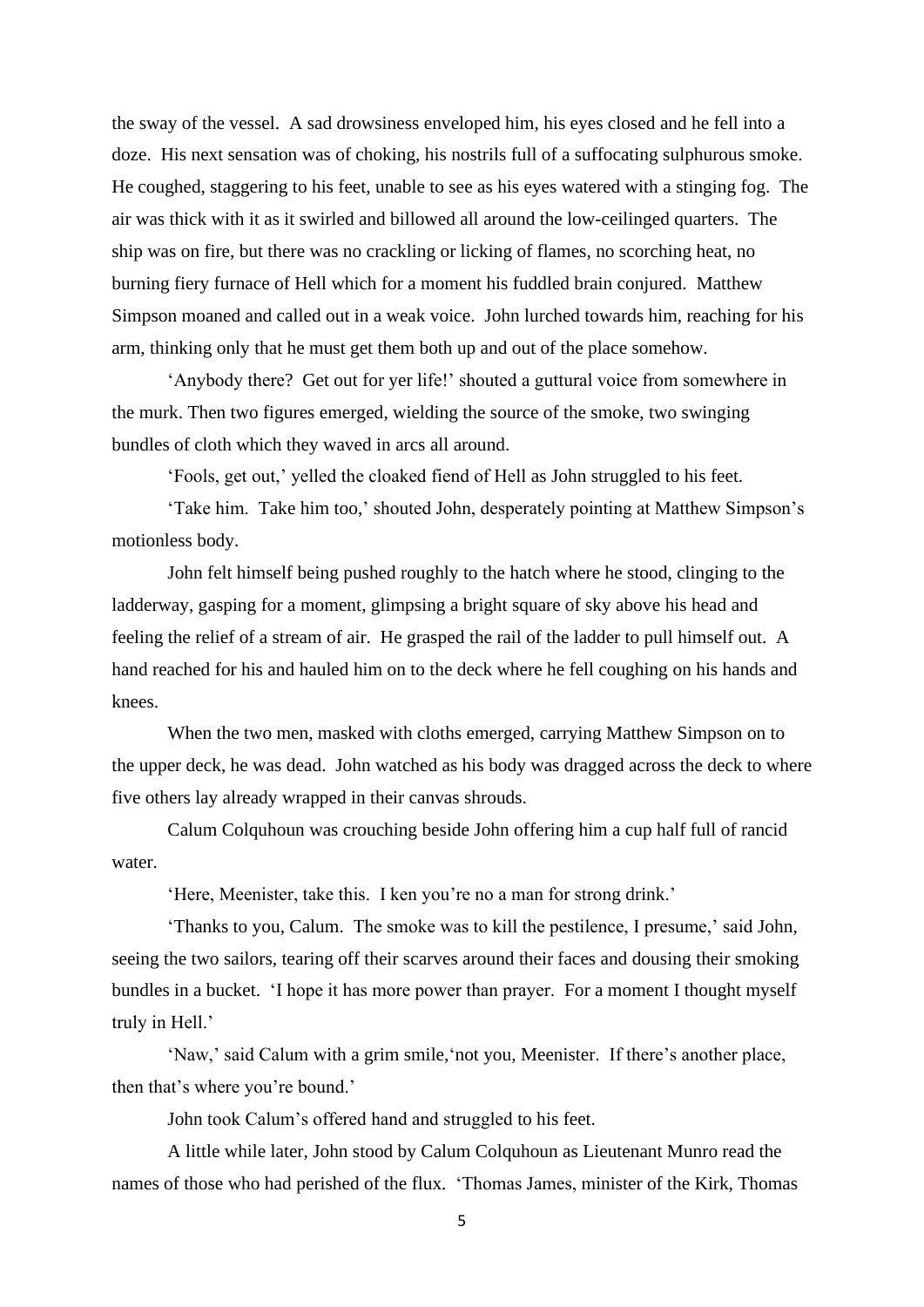the sway of the vessel. A sad drowsiness enveloped him, his eyes closed and he fell into a doze. His next sensation was of choking, his nostrils full of a suffocating sulphurous smoke. He coughed, staggering to his feet, unable to see as his eyes watered with a stinging fog. The air was thick with it as it swirled and billowed all around the low-ceilinged quarters. The ship was on fire, but there was no crackling or licking of flames, no scorching heat, no burning fiery furnace of Hell which for a moment his fuddled brain conjured. Matthew Simpson moaned and called out in a weak voice. John lurched towards him, reaching for his arm, thinking only that he must get them both up and out of the place somehow.

'Anybody there? Get out for yer life!' shouted a guttural voice from somewhere in the murk. Then two figures emerged, wielding the source of the smoke, two swinging bundles of cloth which they waved in arcs all around.

'Fools, get out,' yelled the cloaked fiend of Hell as John struggled to his feet.

'Take him. Take him too,' shouted John, desperately pointing at Matthew Simpson's motionless body.

John felt himself being pushed roughly to the hatch where he stood, clinging to the ladderway, gasping for a moment, glimpsing a bright square of sky above his head and feeling the relief of a stream of air. He grasped the rail of the ladder to pull himself out. A hand reached for his and hauled him on to the deck where he fell coughing on his hands and knees.

When the two men, masked with cloths emerged, carrying Matthew Simpson on to the upper deck, he was dead. John watched as his body was dragged across the deck to where five others lay already wrapped in their canvas shrouds.

Calum Colquhoun was crouching beside John offering him a cup half full of rancid water.

'Here, Meenister, take this. I ken you're no a man for strong drink.'

'Thanks to you, Calum. The smoke was to kill the pestilence, I presume,' said John, seeing the two sailors, tearing off their scarves around their faces and dousing their smoking bundles in a bucket. 'I hope it has more power than prayer. For a moment I thought myself truly in Hell.'

'Naw,' said Calum with a grim smile,'not you, Meenister. If there's another place, then that's where you're bound.'

John took Calum's offered hand and struggled to his feet.

A little while later, John stood by Calum Colquhoun as Lieutenant Munro read the names of those who had perished of the flux. 'Thomas James, minister of the Kirk, Thomas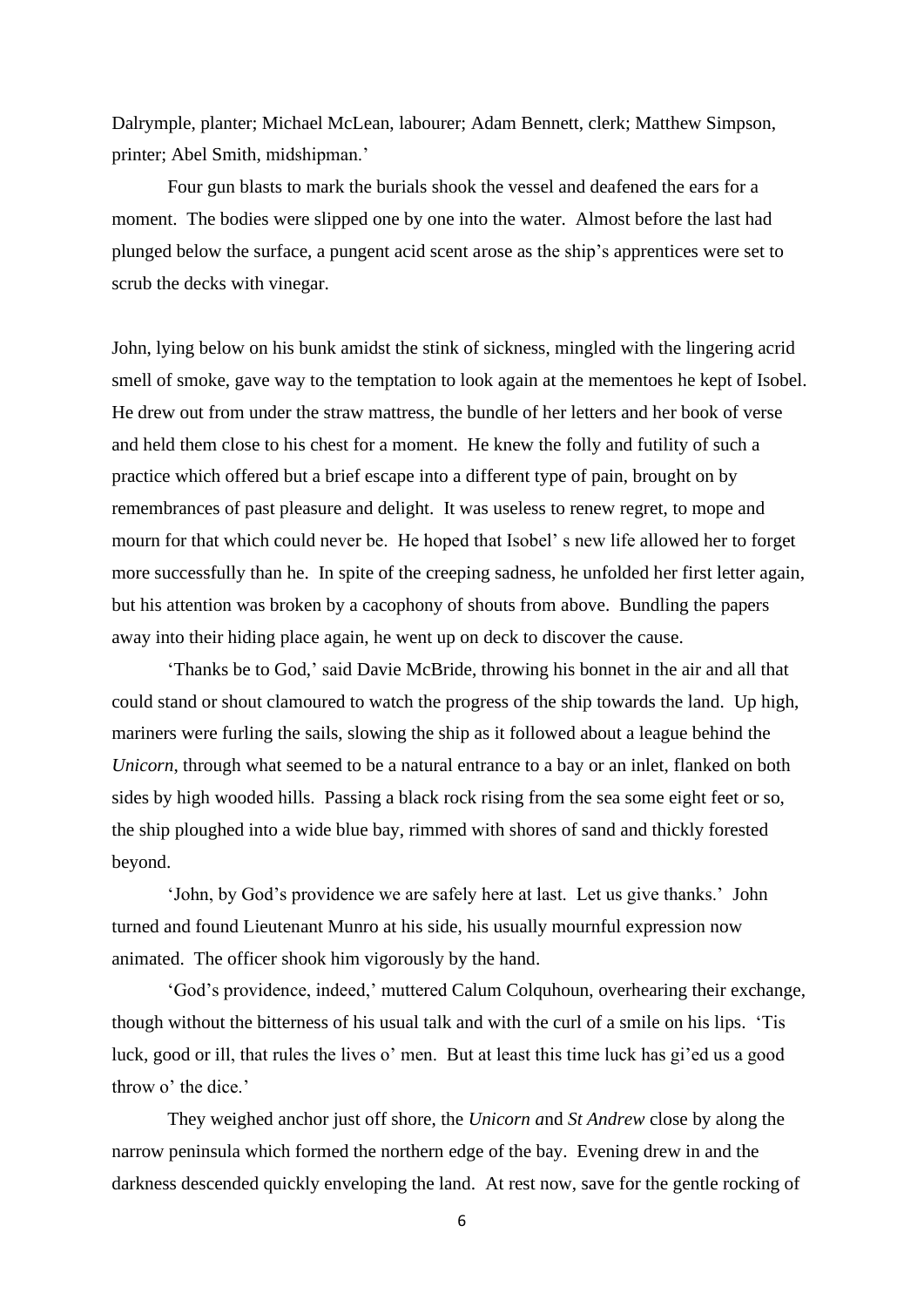Dalrymple, planter; Michael McLean, labourer; Adam Bennett, clerk; Matthew Simpson, printer; Abel Smith, midshipman.'

Four gun blasts to mark the burials shook the vessel and deafened the ears for a moment. The bodies were slipped one by one into the water. Almost before the last had plunged below the surface, a pungent acid scent arose as the ship's apprentices were set to scrub the decks with vinegar.

John, lying below on his bunk amidst the stink of sickness, mingled with the lingering acrid smell of smoke, gave way to the temptation to look again at the mementoes he kept of Isobel. He drew out from under the straw mattress, the bundle of her letters and her book of verse and held them close to his chest for a moment. He knew the folly and futility of such a practice which offered but a brief escape into a different type of pain, brought on by remembrances of past pleasure and delight. It was useless to renew regret, to mope and mourn for that which could never be. He hoped that Isobel' s new life allowed her to forget more successfully than he. In spite of the creeping sadness, he unfolded her first letter again, but his attention was broken by a cacophony of shouts from above. Bundling the papers away into their hiding place again, he went up on deck to discover the cause.

'Thanks be to God,' said Davie McBride, throwing his bonnet in the air and all that could stand or shout clamoured to watch the progress of the ship towards the land. Up high, mariners were furling the sails, slowing the ship as it followed about a league behind the *Unicorn*, through what seemed to be a natural entrance to a bay or an inlet, flanked on both sides by high wooded hills. Passing a black rock rising from the sea some eight feet or so, the ship ploughed into a wide blue bay, rimmed with shores of sand and thickly forested beyond.

'John, by God's providence we are safely here at last. Let us give thanks.' John turned and found Lieutenant Munro at his side, his usually mournful expression now animated. The officer shook him vigorously by the hand.

'God's providence, indeed,' muttered Calum Colquhoun, overhearing their exchange, though without the bitterness of his usual talk and with the curl of a smile on his lips. 'Tis luck, good or ill, that rules the lives o' men. But at least this time luck has gi'ed us a good throw o' the dice.'

They weighed anchor just off shore, the *Unicorn a*nd *St Andrew* close by along the narrow peninsula which formed the northern edge of the bay. Evening drew in and the darkness descended quickly enveloping the land. At rest now, save for the gentle rocking of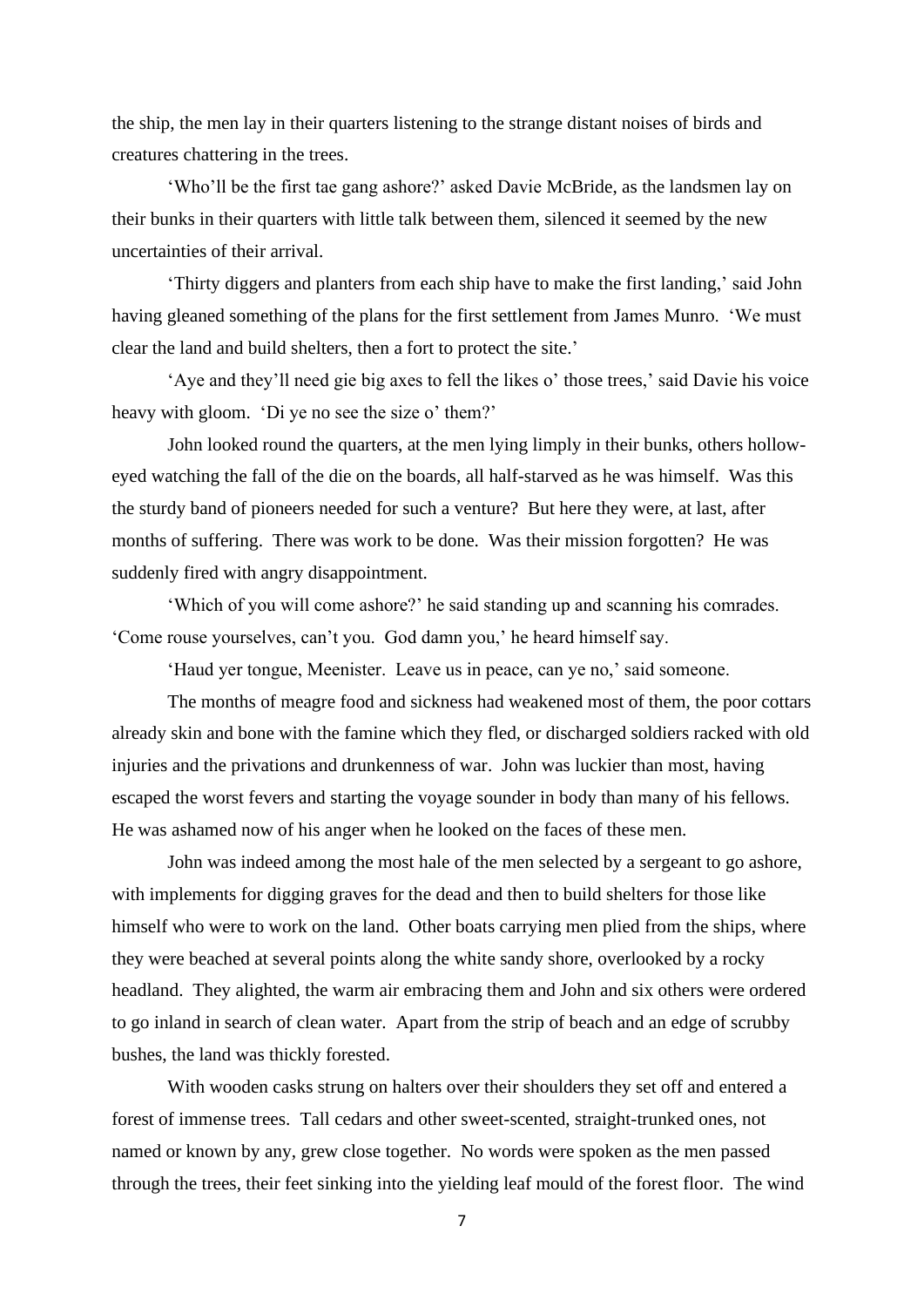the ship, the men lay in their quarters listening to the strange distant noises of birds and creatures chattering in the trees.

'Who'll be the first tae gang ashore?' asked Davie McBride, as the landsmen lay on their bunks in their quarters with little talk between them, silenced it seemed by the new uncertainties of their arrival.

'Thirty diggers and planters from each ship have to make the first landing,' said John having gleaned something of the plans for the first settlement from James Munro. 'We must clear the land and build shelters, then a fort to protect the site.'

'Aye and they'll need gie big axes to fell the likes o' those trees,' said Davie his voice heavy with gloom. 'Di ye no see the size o' them?'

John looked round the quarters, at the men lying limply in their bunks, others holloweyed watching the fall of the die on the boards, all half-starved as he was himself. Was this the sturdy band of pioneers needed for such a venture? But here they were, at last, after months of suffering. There was work to be done. Was their mission forgotten? He was suddenly fired with angry disappointment.

'Which of you will come ashore?' he said standing up and scanning his comrades. 'Come rouse yourselves, can't you. God damn you,' he heard himself say.

'Haud yer tongue, Meenister. Leave us in peace, can ye no,' said someone.

The months of meagre food and sickness had weakened most of them, the poor cottars already skin and bone with the famine which they fled, or discharged soldiers racked with old injuries and the privations and drunkenness of war. John was luckier than most, having escaped the worst fevers and starting the voyage sounder in body than many of his fellows. He was ashamed now of his anger when he looked on the faces of these men.

John was indeed among the most hale of the men selected by a sergeant to go ashore, with implements for digging graves for the dead and then to build shelters for those like himself who were to work on the land. Other boats carrying men plied from the ships, where they were beached at several points along the white sandy shore, overlooked by a rocky headland. They alighted, the warm air embracing them and John and six others were ordered to go inland in search of clean water. Apart from the strip of beach and an edge of scrubby bushes, the land was thickly forested.

With wooden casks strung on halters over their shoulders they set off and entered a forest of immense trees. Tall cedars and other sweet-scented, straight-trunked ones, not named or known by any, grew close together. No words were spoken as the men passed through the trees, their feet sinking into the yielding leaf mould of the forest floor. The wind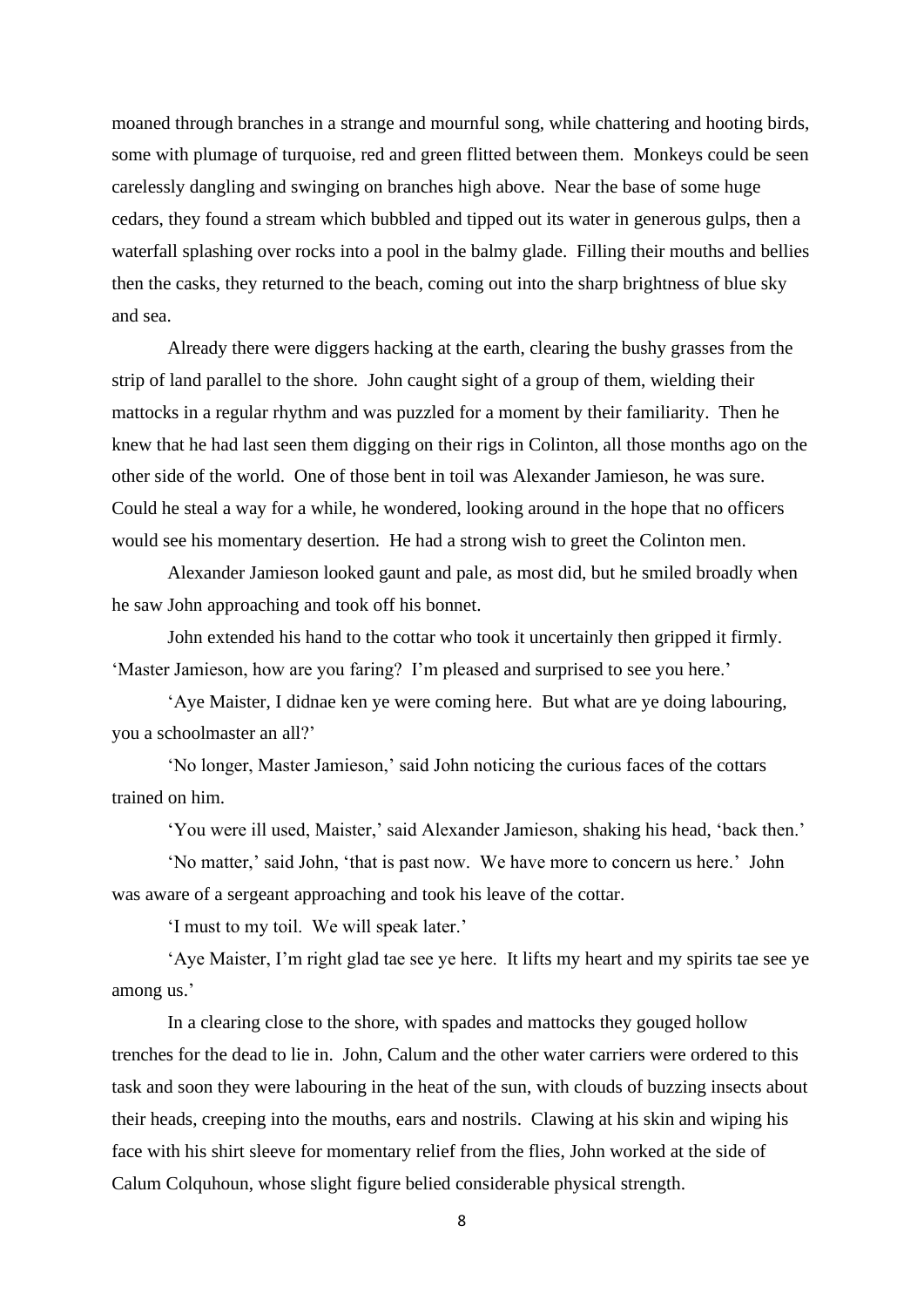moaned through branches in a strange and mournful song, while chattering and hooting birds, some with plumage of turquoise, red and green flitted between them. Monkeys could be seen carelessly dangling and swinging on branches high above. Near the base of some huge cedars, they found a stream which bubbled and tipped out its water in generous gulps, then a waterfall splashing over rocks into a pool in the balmy glade. Filling their mouths and bellies then the casks, they returned to the beach, coming out into the sharp brightness of blue sky and sea.

Already there were diggers hacking at the earth, clearing the bushy grasses from the strip of land parallel to the shore. John caught sight of a group of them, wielding their mattocks in a regular rhythm and was puzzled for a moment by their familiarity. Then he knew that he had last seen them digging on their rigs in Colinton, all those months ago on the other side of the world. One of those bent in toil was Alexander Jamieson, he was sure. Could he steal a way for a while, he wondered, looking around in the hope that no officers would see his momentary desertion. He had a strong wish to greet the Colinton men.

Alexander Jamieson looked gaunt and pale, as most did, but he smiled broadly when he saw John approaching and took off his bonnet.

John extended his hand to the cottar who took it uncertainly then gripped it firmly. 'Master Jamieson, how are you faring? I'm pleased and surprised to see you here.'

'Aye Maister, I didnae ken ye were coming here. But what are ye doing labouring, you a schoolmaster an all?'

'No longer, Master Jamieson,' said John noticing the curious faces of the cottars trained on him.

'You were ill used, Maister,' said Alexander Jamieson, shaking his head, 'back then.'

'No matter,' said John, 'that is past now. We have more to concern us here.' John was aware of a sergeant approaching and took his leave of the cottar.

'I must to my toil. We will speak later.'

'Aye Maister, I'm right glad tae see ye here. It lifts my heart and my spirits tae see ye among us.'

In a clearing close to the shore, with spades and mattocks they gouged hollow trenches for the dead to lie in. John, Calum and the other water carriers were ordered to this task and soon they were labouring in the heat of the sun, with clouds of buzzing insects about their heads, creeping into the mouths, ears and nostrils. Clawing at his skin and wiping his face with his shirt sleeve for momentary relief from the flies, John worked at the side of Calum Colquhoun, whose slight figure belied considerable physical strength.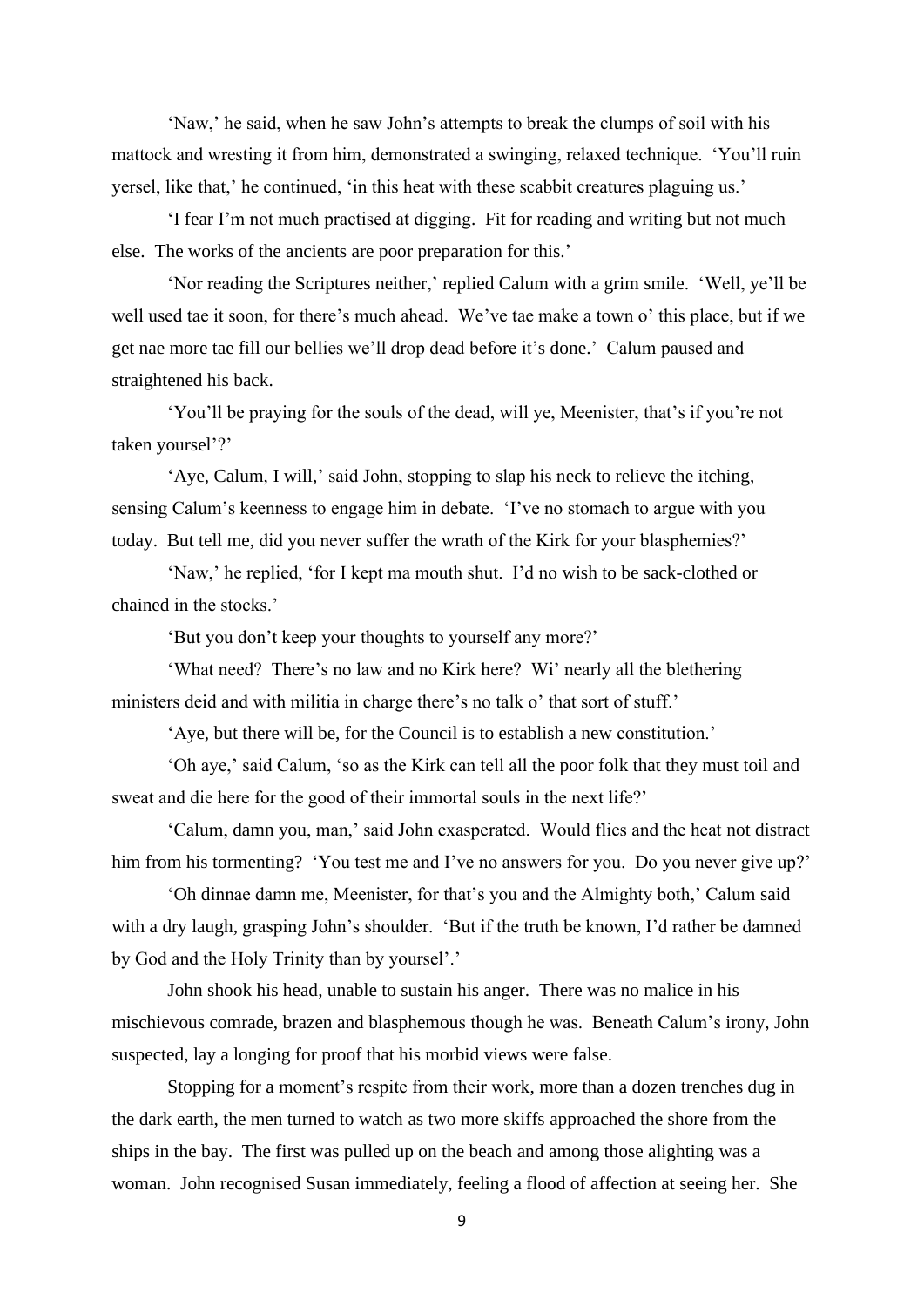'Naw,' he said, when he saw John's attempts to break the clumps of soil with his mattock and wresting it from him, demonstrated a swinging, relaxed technique. 'You'll ruin yersel, like that,' he continued, 'in this heat with these scabbit creatures plaguing us.'

'I fear I'm not much practised at digging. Fit for reading and writing but not much else. The works of the ancients are poor preparation for this.'

'Nor reading the Scriptures neither,' replied Calum with a grim smile. 'Well, ye'll be well used tae it soon, for there's much ahead. We've tae make a town o' this place, but if we get nae more tae fill our bellies we'll drop dead before it's done.' Calum paused and straightened his back.

'You'll be praying for the souls of the dead, will ye, Meenister, that's if you're not taken yoursel'?'

'Aye, Calum, I will,' said John, stopping to slap his neck to relieve the itching, sensing Calum's keenness to engage him in debate. 'I've no stomach to argue with you today. But tell me, did you never suffer the wrath of the Kirk for your blasphemies?'

'Naw,' he replied, 'for I kept ma mouth shut. I'd no wish to be sack-clothed or chained in the stocks.'

'But you don't keep your thoughts to yourself any more?'

'What need? There's no law and no Kirk here? Wi' nearly all the blethering ministers deid and with militia in charge there's no talk o' that sort of stuff.'

'Aye, but there will be, for the Council is to establish a new constitution.'

'Oh aye,' said Calum, 'so as the Kirk can tell all the poor folk that they must toil and sweat and die here for the good of their immortal souls in the next life?'

'Calum, damn you, man,' said John exasperated. Would flies and the heat not distract him from his tormenting? 'You test me and I've no answers for you. Do you never give up?'

'Oh dinnae damn me, Meenister, for that's you and the Almighty both,' Calum said with a dry laugh, grasping John's shoulder. 'But if the truth be known, I'd rather be damned by God and the Holy Trinity than by yoursel'.'

John shook his head, unable to sustain his anger. There was no malice in his mischievous comrade, brazen and blasphemous though he was. Beneath Calum's irony, John suspected, lay a longing for proof that his morbid views were false.

Stopping for a moment's respite from their work, more than a dozen trenches dug in the dark earth, the men turned to watch as two more skiffs approached the shore from the ships in the bay. The first was pulled up on the beach and among those alighting was a woman. John recognised Susan immediately, feeling a flood of affection at seeing her. She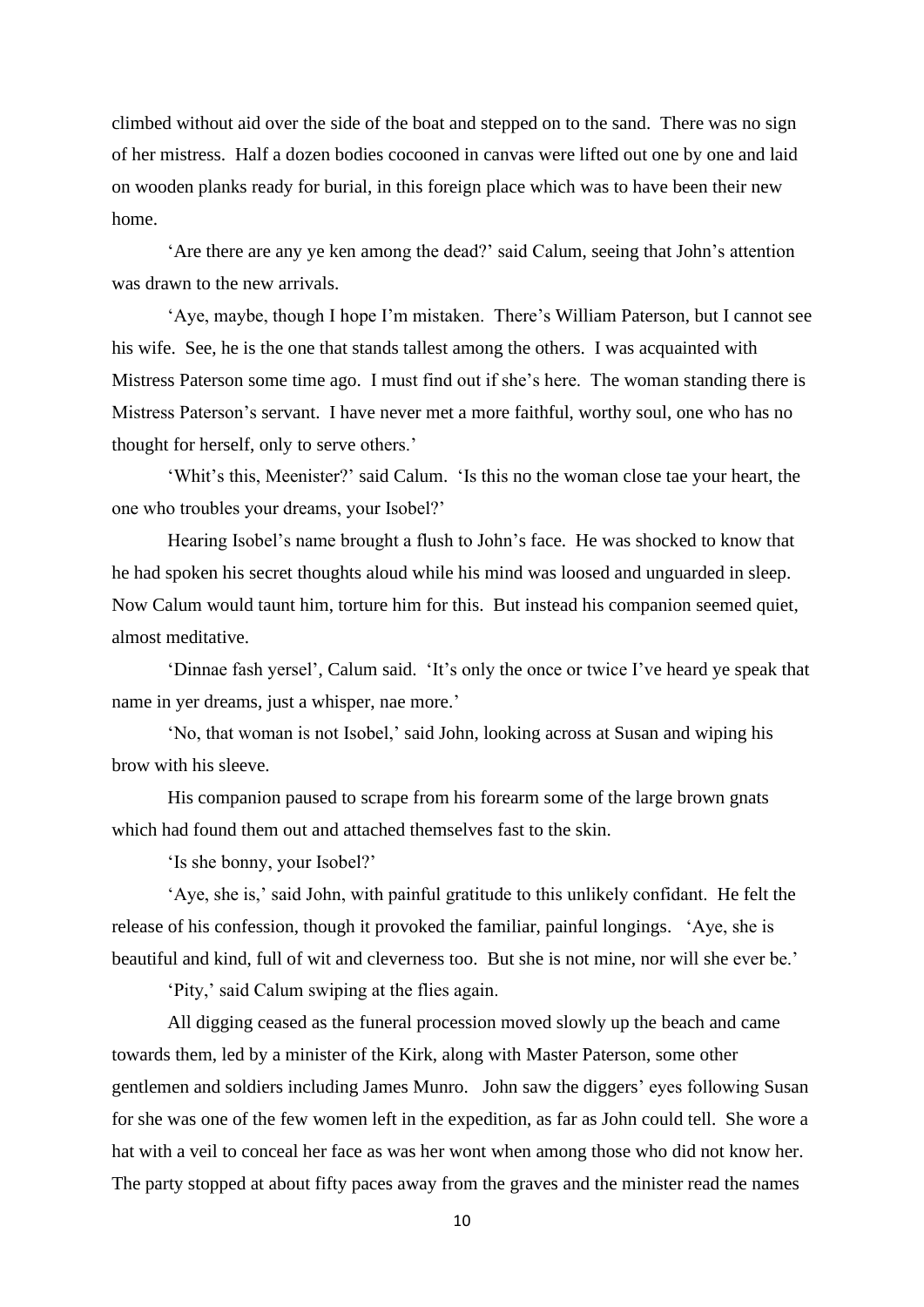climbed without aid over the side of the boat and stepped on to the sand. There was no sign of her mistress. Half a dozen bodies cocooned in canvas were lifted out one by one and laid on wooden planks ready for burial, in this foreign place which was to have been their new home.

'Are there are any ye ken among the dead?' said Calum, seeing that John's attention was drawn to the new arrivals.

'Aye, maybe, though I hope I'm mistaken. There's William Paterson, but I cannot see his wife. See, he is the one that stands tallest among the others. I was acquainted with Mistress Paterson some time ago. I must find out if she's here. The woman standing there is Mistress Paterson's servant. I have never met a more faithful, worthy soul, one who has no thought for herself, only to serve others.'

'Whit's this, Meenister?' said Calum. 'Is this no the woman close tae your heart, the one who troubles your dreams, your Isobel?'

Hearing Isobel's name brought a flush to John's face. He was shocked to know that he had spoken his secret thoughts aloud while his mind was loosed and unguarded in sleep. Now Calum would taunt him, torture him for this. But instead his companion seemed quiet, almost meditative.

'Dinnae fash yersel', Calum said. 'It's only the once or twice I've heard ye speak that name in yer dreams, just a whisper, nae more.'

'No, that woman is not Isobel,' said John, looking across at Susan and wiping his brow with his sleeve.

His companion paused to scrape from his forearm some of the large brown gnats which had found them out and attached themselves fast to the skin.

'Is she bonny, your Isobel?'

'Aye, she is,' said John, with painful gratitude to this unlikely confidant. He felt the release of his confession, though it provoked the familiar, painful longings. 'Aye, she is beautiful and kind, full of wit and cleverness too. But she is not mine, nor will she ever be.'

'Pity,' said Calum swiping at the flies again.

All digging ceased as the funeral procession moved slowly up the beach and came towards them, led by a minister of the Kirk, along with Master Paterson, some other gentlemen and soldiers including James Munro. John saw the diggers' eyes following Susan for she was one of the few women left in the expedition, as far as John could tell. She wore a hat with a veil to conceal her face as was her wont when among those who did not know her. The party stopped at about fifty paces away from the graves and the minister read the names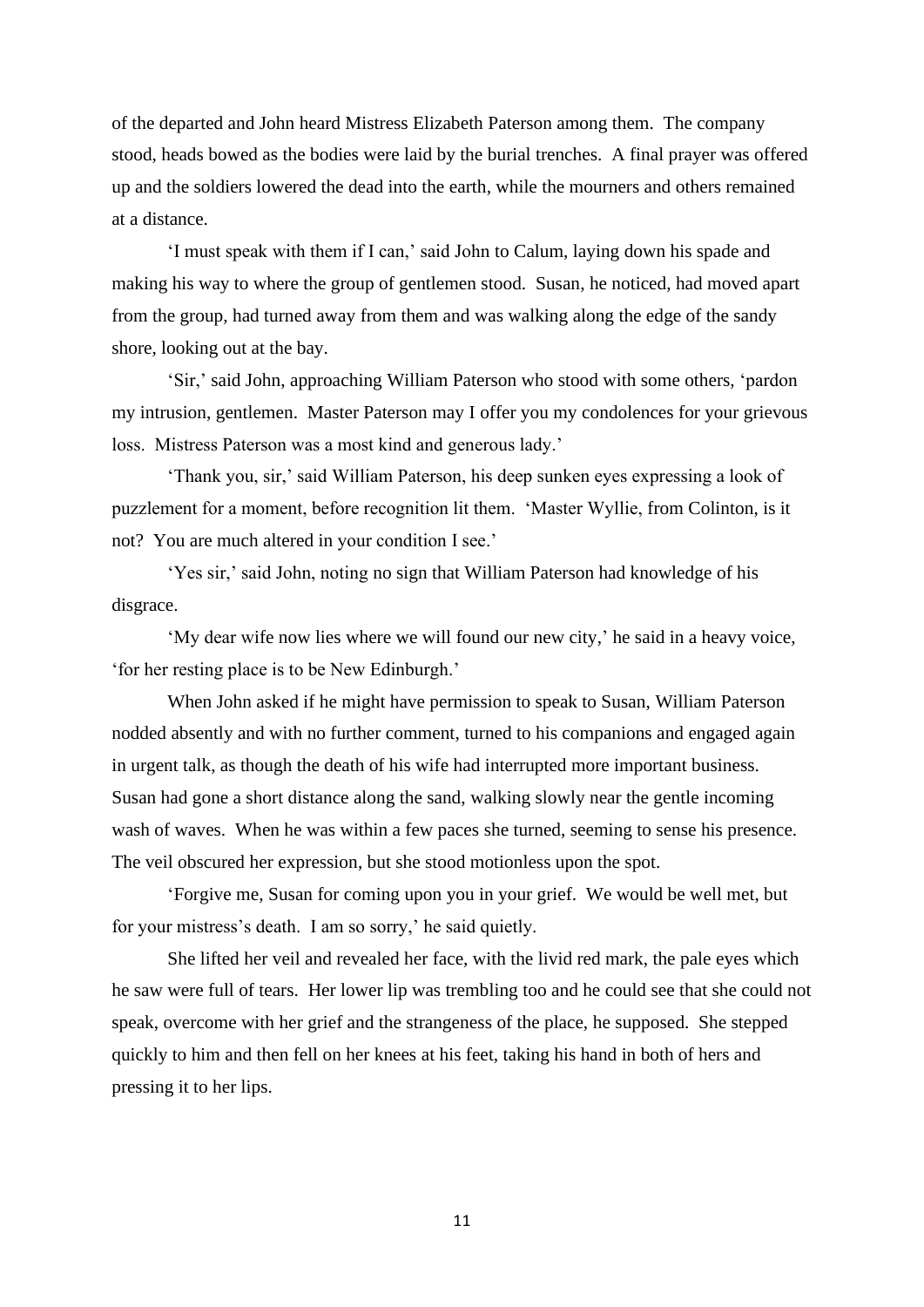of the departed and John heard Mistress Elizabeth Paterson among them. The company stood, heads bowed as the bodies were laid by the burial trenches. A final prayer was offered up and the soldiers lowered the dead into the earth, while the mourners and others remained at a distance.

'I must speak with them if I can,' said John to Calum, laying down his spade and making his way to where the group of gentlemen stood. Susan, he noticed, had moved apart from the group, had turned away from them and was walking along the edge of the sandy shore, looking out at the bay.

'Sir,' said John, approaching William Paterson who stood with some others, 'pardon my intrusion, gentlemen. Master Paterson may I offer you my condolences for your grievous loss. Mistress Paterson was a most kind and generous lady.'

'Thank you, sir,' said William Paterson, his deep sunken eyes expressing a look of puzzlement for a moment, before recognition lit them. 'Master Wyllie, from Colinton, is it not? You are much altered in your condition I see.'

'Yes sir,' said John, noting no sign that William Paterson had knowledge of his disgrace.

'My dear wife now lies where we will found our new city,' he said in a heavy voice, 'for her resting place is to be New Edinburgh.'

When John asked if he might have permission to speak to Susan, William Paterson nodded absently and with no further comment, turned to his companions and engaged again in urgent talk, as though the death of his wife had interrupted more important business. Susan had gone a short distance along the sand, walking slowly near the gentle incoming wash of waves. When he was within a few paces she turned, seeming to sense his presence. The veil obscured her expression, but she stood motionless upon the spot.

'Forgive me, Susan for coming upon you in your grief. We would be well met, but for your mistress's death. I am so sorry,' he said quietly.

She lifted her veil and revealed her face, with the livid red mark, the pale eyes which he saw were full of tears. Her lower lip was trembling too and he could see that she could not speak, overcome with her grief and the strangeness of the place, he supposed. She stepped quickly to him and then fell on her knees at his feet, taking his hand in both of hers and pressing it to her lips.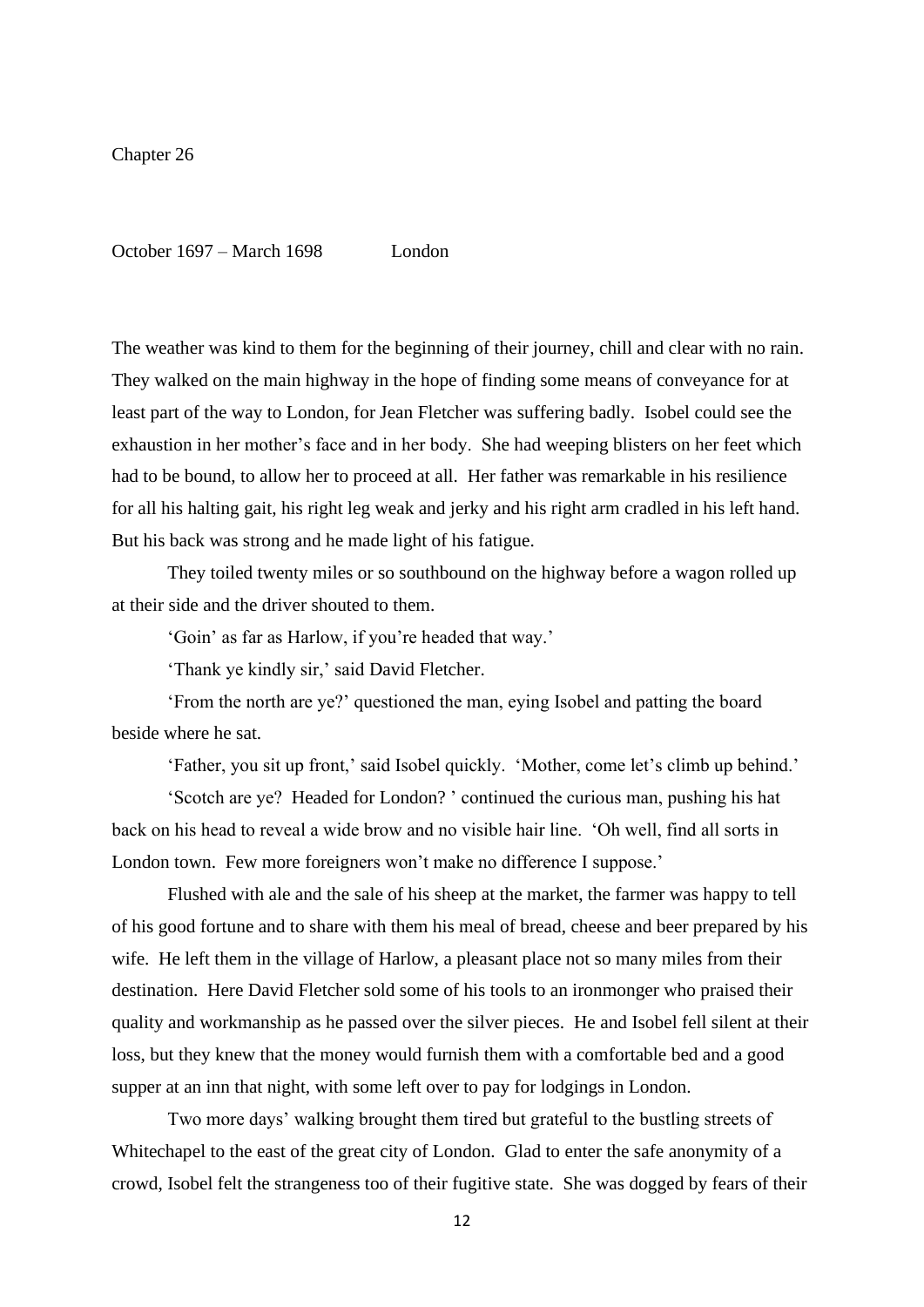Chapter 26

October 1697 – March 1698 London

The weather was kind to them for the beginning of their journey, chill and clear with no rain. They walked on the main highway in the hope of finding some means of conveyance for at least part of the way to London, for Jean Fletcher was suffering badly. Isobel could see the exhaustion in her mother's face and in her body. She had weeping blisters on her feet which had to be bound, to allow her to proceed at all. Her father was remarkable in his resilience for all his halting gait, his right leg weak and jerky and his right arm cradled in his left hand. But his back was strong and he made light of his fatigue.

They toiled twenty miles or so southbound on the highway before a wagon rolled up at their side and the driver shouted to them.

'Goin' as far as Harlow, if you're headed that way.'

'Thank ye kindly sir,' said David Fletcher.

'From the north are ye?' questioned the man, eying Isobel and patting the board beside where he sat.

'Father, you sit up front,' said Isobel quickly. 'Mother, come let's climb up behind.'

'Scotch are ye? Headed for London? ' continued the curious man, pushing his hat back on his head to reveal a wide brow and no visible hair line. 'Oh well, find all sorts in London town. Few more foreigners won't make no difference I suppose.'

Flushed with ale and the sale of his sheep at the market, the farmer was happy to tell of his good fortune and to share with them his meal of bread, cheese and beer prepared by his wife. He left them in the village of Harlow, a pleasant place not so many miles from their destination. Here David Fletcher sold some of his tools to an ironmonger who praised their quality and workmanship as he passed over the silver pieces. He and Isobel fell silent at their loss, but they knew that the money would furnish them with a comfortable bed and a good supper at an inn that night, with some left over to pay for lodgings in London.

Two more days' walking brought them tired but grateful to the bustling streets of Whitechapel to the east of the great city of London. Glad to enter the safe anonymity of a crowd, Isobel felt the strangeness too of their fugitive state. She was dogged by fears of their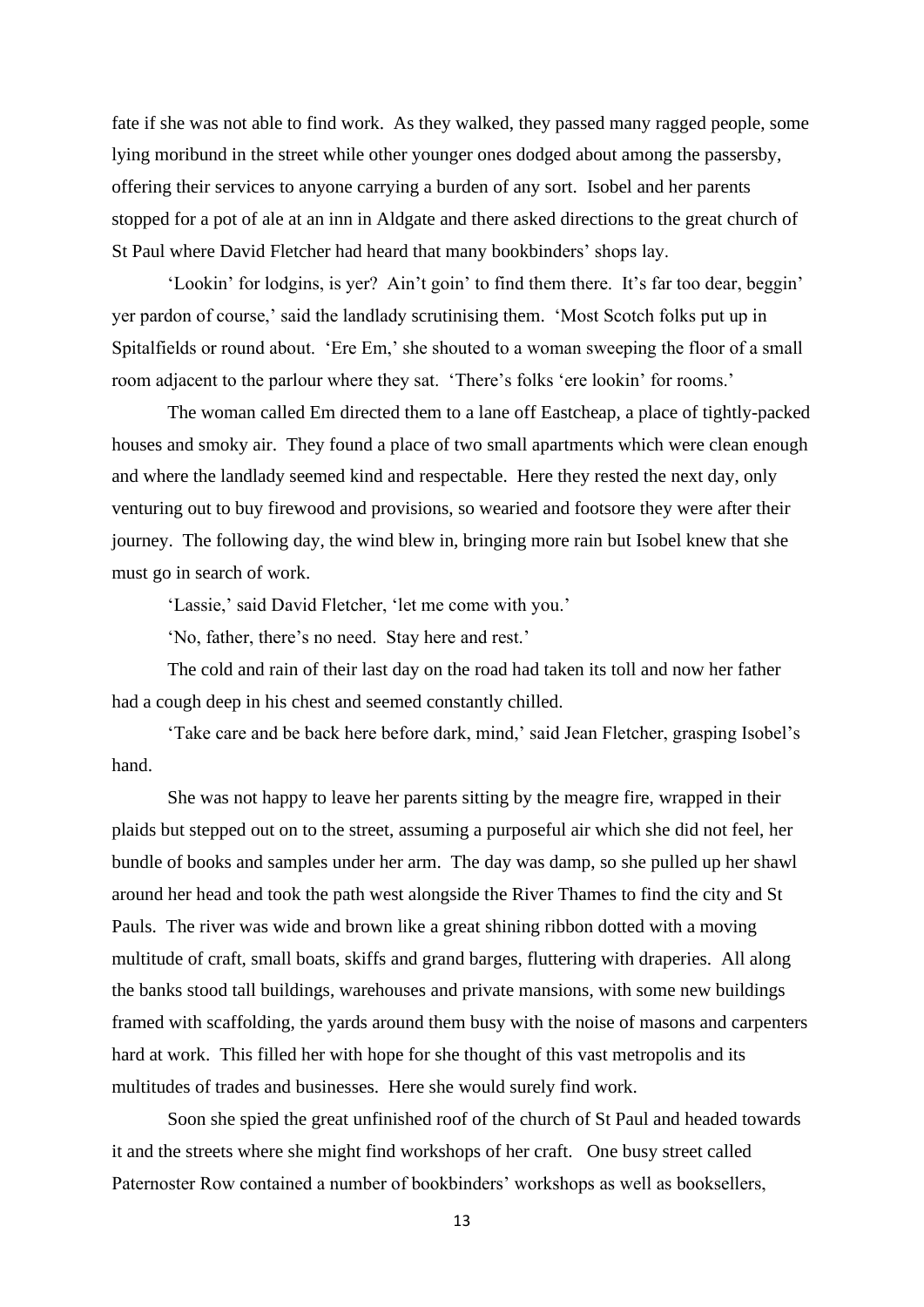fate if she was not able to find work. As they walked, they passed many ragged people, some lying moribund in the street while other younger ones dodged about among the passersby, offering their services to anyone carrying a burden of any sort. Isobel and her parents stopped for a pot of ale at an inn in Aldgate and there asked directions to the great church of St Paul where David Fletcher had heard that many bookbinders' shops lay.

'Lookin' for lodgins, is yer? Ain't goin' to find them there. It's far too dear, beggin' yer pardon of course,' said the landlady scrutinising them. 'Most Scotch folks put up in Spitalfields or round about. 'Ere Em,' she shouted to a woman sweeping the floor of a small room adjacent to the parlour where they sat. 'There's folks 'ere lookin' for rooms.'

The woman called Em directed them to a lane off Eastcheap, a place of tightly-packed houses and smoky air. They found a place of two small apartments which were clean enough and where the landlady seemed kind and respectable. Here they rested the next day, only venturing out to buy firewood and provisions, so wearied and footsore they were after their journey. The following day, the wind blew in, bringing more rain but Isobel knew that she must go in search of work.

'Lassie,' said David Fletcher, 'let me come with you.'

'No, father, there's no need. Stay here and rest.'

The cold and rain of their last day on the road had taken its toll and now her father had a cough deep in his chest and seemed constantly chilled.

'Take care and be back here before dark, mind,' said Jean Fletcher, grasping Isobel's hand.

She was not happy to leave her parents sitting by the meagre fire, wrapped in their plaids but stepped out on to the street, assuming a purposeful air which she did not feel, her bundle of books and samples under her arm. The day was damp, so she pulled up her shawl around her head and took the path west alongside the River Thames to find the city and St Pauls. The river was wide and brown like a great shining ribbon dotted with a moving multitude of craft, small boats, skiffs and grand barges, fluttering with draperies. All along the banks stood tall buildings, warehouses and private mansions, with some new buildings framed with scaffolding, the yards around them busy with the noise of masons and carpenters hard at work. This filled her with hope for she thought of this vast metropolis and its multitudes of trades and businesses. Here she would surely find work.

Soon she spied the great unfinished roof of the church of St Paul and headed towards it and the streets where she might find workshops of her craft. One busy street called Paternoster Row contained a number of bookbinders' workshops as well as booksellers,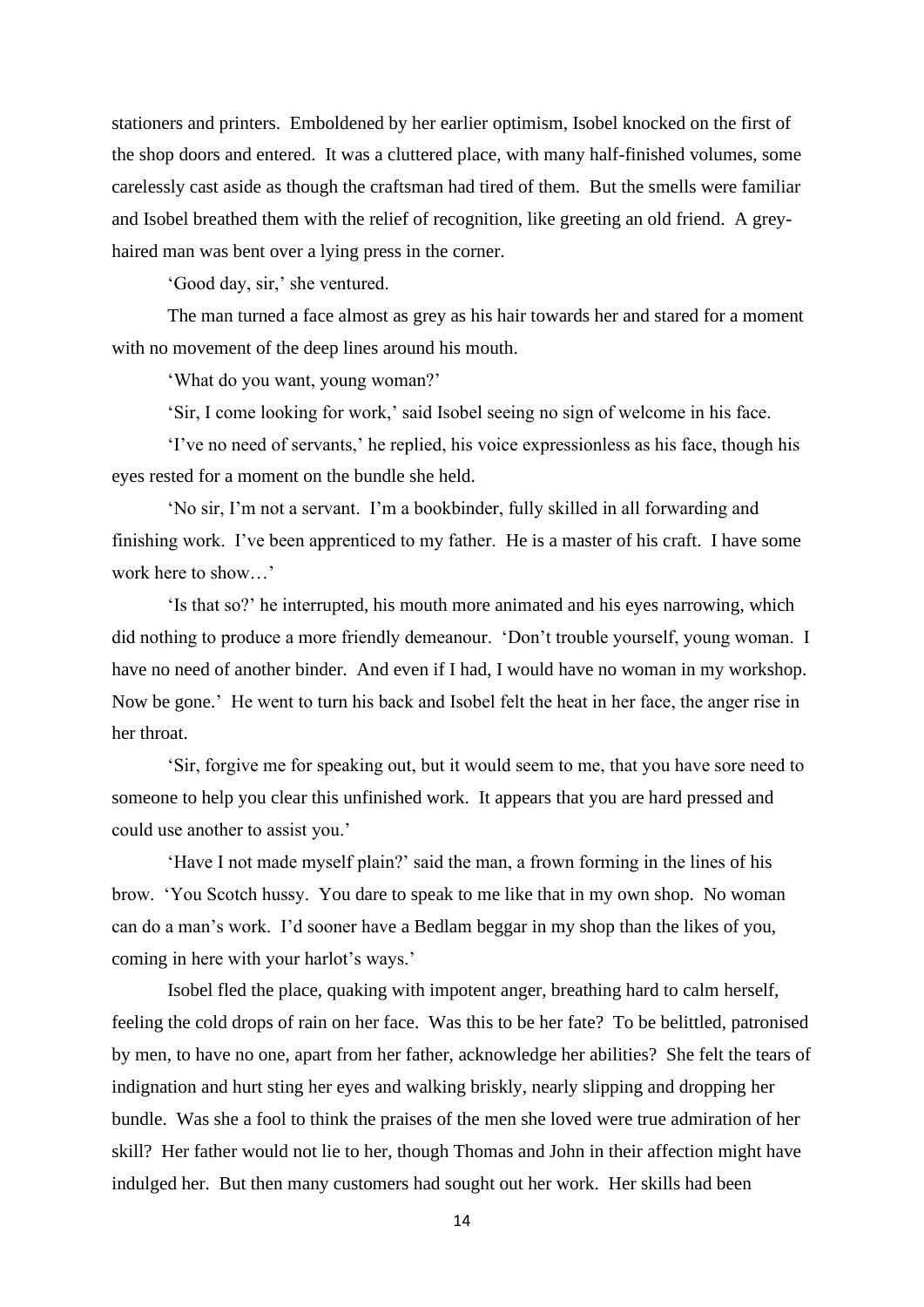stationers and printers. Emboldened by her earlier optimism, Isobel knocked on the first of the shop doors and entered. It was a cluttered place, with many half-finished volumes, some carelessly cast aside as though the craftsman had tired of them. But the smells were familiar and Isobel breathed them with the relief of recognition, like greeting an old friend. A greyhaired man was bent over a lying press in the corner.

'Good day, sir,' she ventured.

The man turned a face almost as grey as his hair towards her and stared for a moment with no movement of the deep lines around his mouth.

'What do you want, young woman?'

'Sir, I come looking for work,' said Isobel seeing no sign of welcome in his face.

'I've no need of servants,' he replied, his voice expressionless as his face, though his eyes rested for a moment on the bundle she held.

'No sir, I'm not a servant. I'm a bookbinder, fully skilled in all forwarding and finishing work. I've been apprenticed to my father. He is a master of his craft. I have some work here to show…'

'Is that so?' he interrupted, his mouth more animated and his eyes narrowing, which did nothing to produce a more friendly demeanour. 'Don't trouble yourself, young woman. I have no need of another binder. And even if I had, I would have no woman in my workshop. Now be gone.' He went to turn his back and Isobel felt the heat in her face, the anger rise in her throat.

'Sir, forgive me for speaking out, but it would seem to me, that you have sore need to someone to help you clear this unfinished work. It appears that you are hard pressed and could use another to assist you.'

'Have I not made myself plain?' said the man, a frown forming in the lines of his brow. 'You Scotch hussy. You dare to speak to me like that in my own shop. No woman can do a man's work. I'd sooner have a Bedlam beggar in my shop than the likes of you, coming in here with your harlot's ways.'

Isobel fled the place, quaking with impotent anger, breathing hard to calm herself, feeling the cold drops of rain on her face. Was this to be her fate? To be belittled, patronised by men, to have no one, apart from her father, acknowledge her abilities? She felt the tears of indignation and hurt sting her eyes and walking briskly, nearly slipping and dropping her bundle. Was she a fool to think the praises of the men she loved were true admiration of her skill? Her father would not lie to her, though Thomas and John in their affection might have indulged her. But then many customers had sought out her work. Her skills had been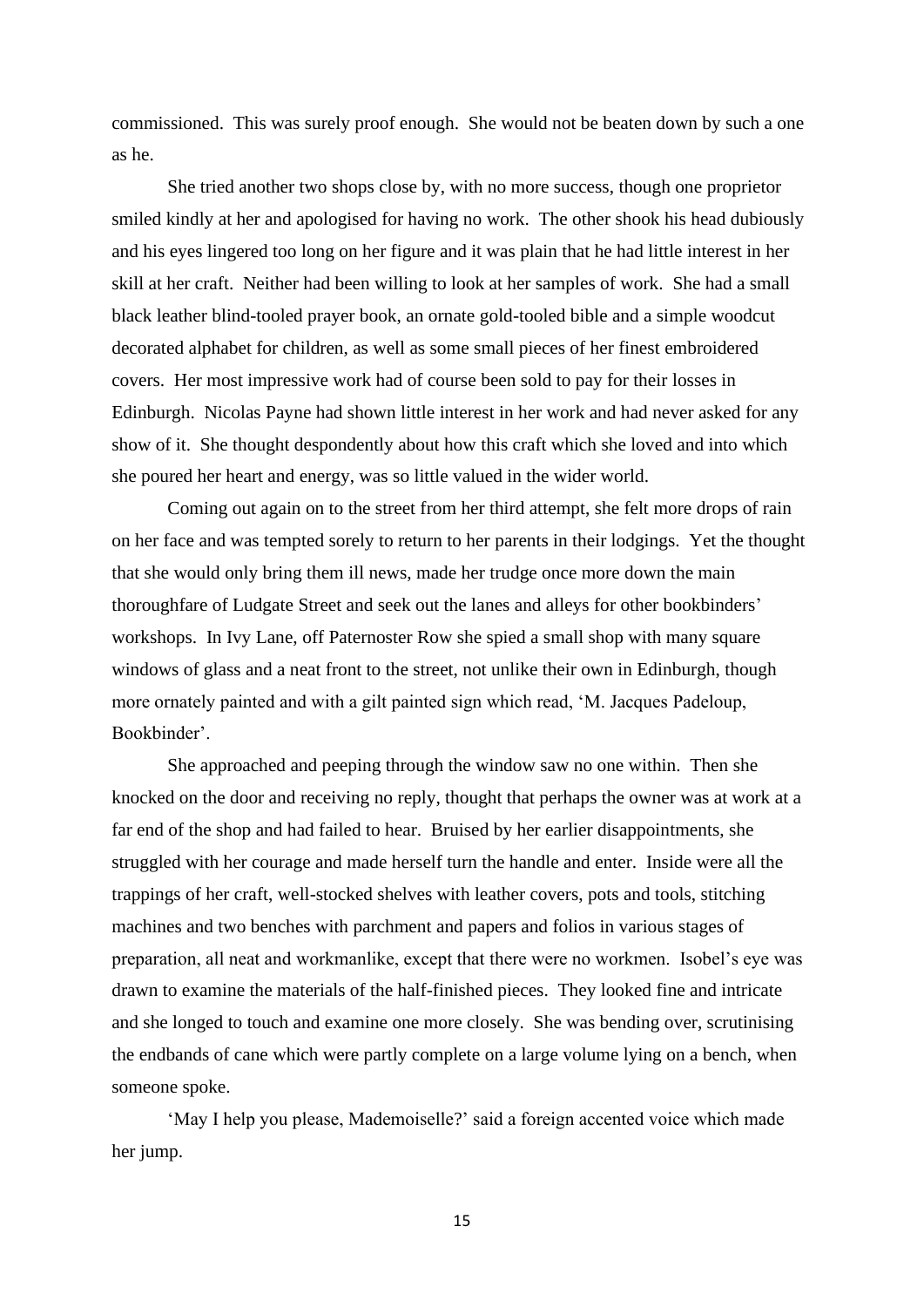commissioned. This was surely proof enough. She would not be beaten down by such a one as he.

She tried another two shops close by, with no more success, though one proprietor smiled kindly at her and apologised for having no work. The other shook his head dubiously and his eyes lingered too long on her figure and it was plain that he had little interest in her skill at her craft. Neither had been willing to look at her samples of work. She had a small black leather blind-tooled prayer book, an ornate gold-tooled bible and a simple woodcut decorated alphabet for children, as well as some small pieces of her finest embroidered covers. Her most impressive work had of course been sold to pay for their losses in Edinburgh. Nicolas Payne had shown little interest in her work and had never asked for any show of it. She thought despondently about how this craft which she loved and into which she poured her heart and energy, was so little valued in the wider world.

Coming out again on to the street from her third attempt, she felt more drops of rain on her face and was tempted sorely to return to her parents in their lodgings. Yet the thought that she would only bring them ill news, made her trudge once more down the main thoroughfare of Ludgate Street and seek out the lanes and alleys for other bookbinders' workshops. In Ivy Lane, off Paternoster Row she spied a small shop with many square windows of glass and a neat front to the street, not unlike their own in Edinburgh, though more ornately painted and with a gilt painted sign which read, 'M. Jacques Padeloup, Bookbinder'.

She approached and peeping through the window saw no one within. Then she knocked on the door and receiving no reply, thought that perhaps the owner was at work at a far end of the shop and had failed to hear. Bruised by her earlier disappointments, she struggled with her courage and made herself turn the handle and enter. Inside were all the trappings of her craft, well-stocked shelves with leather covers, pots and tools, stitching machines and two benches with parchment and papers and folios in various stages of preparation, all neat and workmanlike, except that there were no workmen. Isobel's eye was drawn to examine the materials of the half-finished pieces. They looked fine and intricate and she longed to touch and examine one more closely. She was bending over, scrutinising the endbands of cane which were partly complete on a large volume lying on a bench, when someone spoke.

'May I help you please, Mademoiselle?' said a foreign accented voice which made her jump.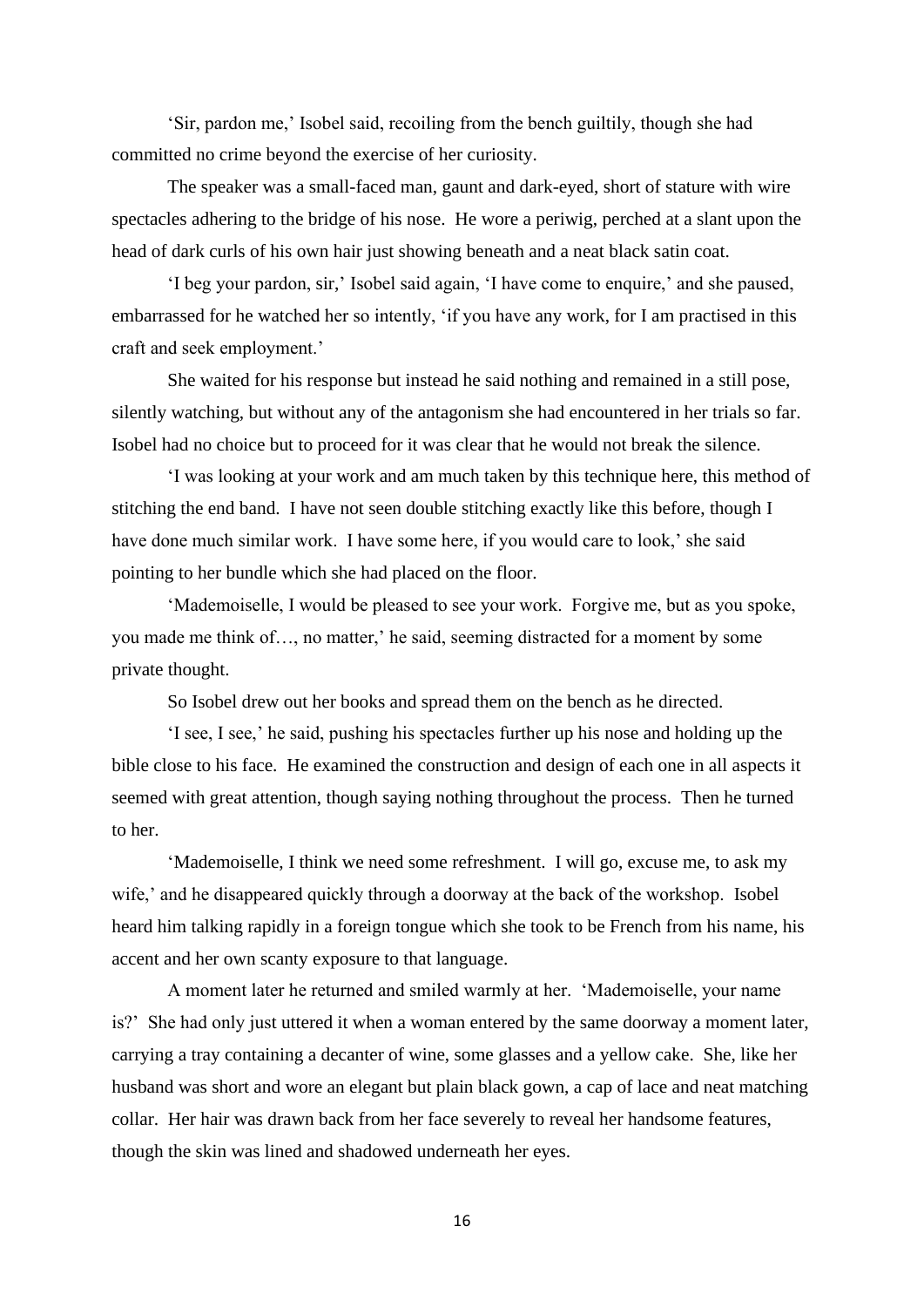'Sir, pardon me,' Isobel said, recoiling from the bench guiltily, though she had committed no crime beyond the exercise of her curiosity.

The speaker was a small-faced man, gaunt and dark-eyed, short of stature with wire spectacles adhering to the bridge of his nose. He wore a periwig, perched at a slant upon the head of dark curls of his own hair just showing beneath and a neat black satin coat.

'I beg your pardon, sir,' Isobel said again, 'I have come to enquire,' and she paused, embarrassed for he watched her so intently, 'if you have any work, for I am practised in this craft and seek employment.'

She waited for his response but instead he said nothing and remained in a still pose, silently watching, but without any of the antagonism she had encountered in her trials so far. Isobel had no choice but to proceed for it was clear that he would not break the silence.

'I was looking at your work and am much taken by this technique here, this method of stitching the end band. I have not seen double stitching exactly like this before, though I have done much similar work. I have some here, if you would care to look,' she said pointing to her bundle which she had placed on the floor.

'Mademoiselle, I would be pleased to see your work. Forgive me, but as you spoke, you made me think of…, no matter,' he said, seeming distracted for a moment by some private thought.

So Isobel drew out her books and spread them on the bench as he directed.

'I see, I see,' he said, pushing his spectacles further up his nose and holding up the bible close to his face. He examined the construction and design of each one in all aspects it seemed with great attention, though saying nothing throughout the process. Then he turned to her.

'Mademoiselle, I think we need some refreshment. I will go, excuse me, to ask my wife,' and he disappeared quickly through a doorway at the back of the workshop. Isobel heard him talking rapidly in a foreign tongue which she took to be French from his name, his accent and her own scanty exposure to that language.

A moment later he returned and smiled warmly at her. 'Mademoiselle, your name is?' She had only just uttered it when a woman entered by the same doorway a moment later, carrying a tray containing a decanter of wine, some glasses and a yellow cake. She, like her husband was short and wore an elegant but plain black gown, a cap of lace and neat matching collar. Her hair was drawn back from her face severely to reveal her handsome features, though the skin was lined and shadowed underneath her eyes.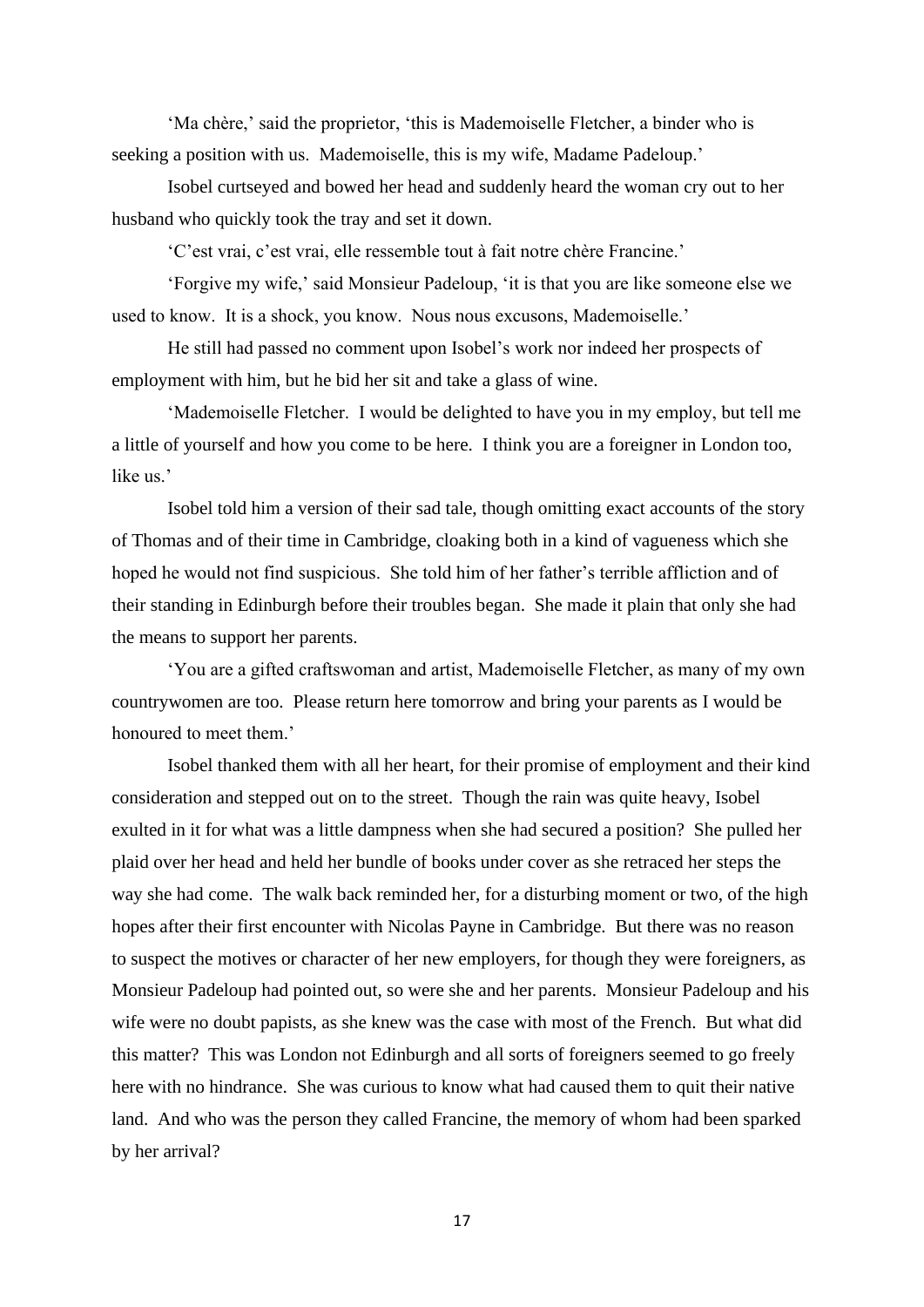'Ma chère,' said the proprietor, 'this is Mademoiselle Fletcher, a binder who is seeking a position with us. Mademoiselle, this is my wife, Madame Padeloup.'

Isobel curtseyed and bowed her head and suddenly heard the woman cry out to her husband who quickly took the tray and set it down.

'C'est vrai, c'est vrai, elle ressemble tout à fait notre chère Francine.'

'Forgive my wife,' said Monsieur Padeloup, 'it is that you are like someone else we used to know. It is a shock, you know. Nous nous excusons, Mademoiselle.'

He still had passed no comment upon Isobel's work nor indeed her prospects of employment with him, but he bid her sit and take a glass of wine.

'Mademoiselle Fletcher. I would be delighted to have you in my employ, but tell me a little of yourself and how you come to be here. I think you are a foreigner in London too, like us.'

Isobel told him a version of their sad tale, though omitting exact accounts of the story of Thomas and of their time in Cambridge, cloaking both in a kind of vagueness which she hoped he would not find suspicious. She told him of her father's terrible affliction and of their standing in Edinburgh before their troubles began. She made it plain that only she had the means to support her parents.

'You are a gifted craftswoman and artist, Mademoiselle Fletcher, as many of my own countrywomen are too. Please return here tomorrow and bring your parents as I would be honoured to meet them.'

Isobel thanked them with all her heart, for their promise of employment and their kind consideration and stepped out on to the street. Though the rain was quite heavy, Isobel exulted in it for what was a little dampness when she had secured a position? She pulled her plaid over her head and held her bundle of books under cover as she retraced her steps the way she had come. The walk back reminded her, for a disturbing moment or two, of the high hopes after their first encounter with Nicolas Payne in Cambridge. But there was no reason to suspect the motives or character of her new employers, for though they were foreigners, as Monsieur Padeloup had pointed out, so were she and her parents. Monsieur Padeloup and his wife were no doubt papists, as she knew was the case with most of the French. But what did this matter? This was London not Edinburgh and all sorts of foreigners seemed to go freely here with no hindrance. She was curious to know what had caused them to quit their native land. And who was the person they called Francine, the memory of whom had been sparked by her arrival?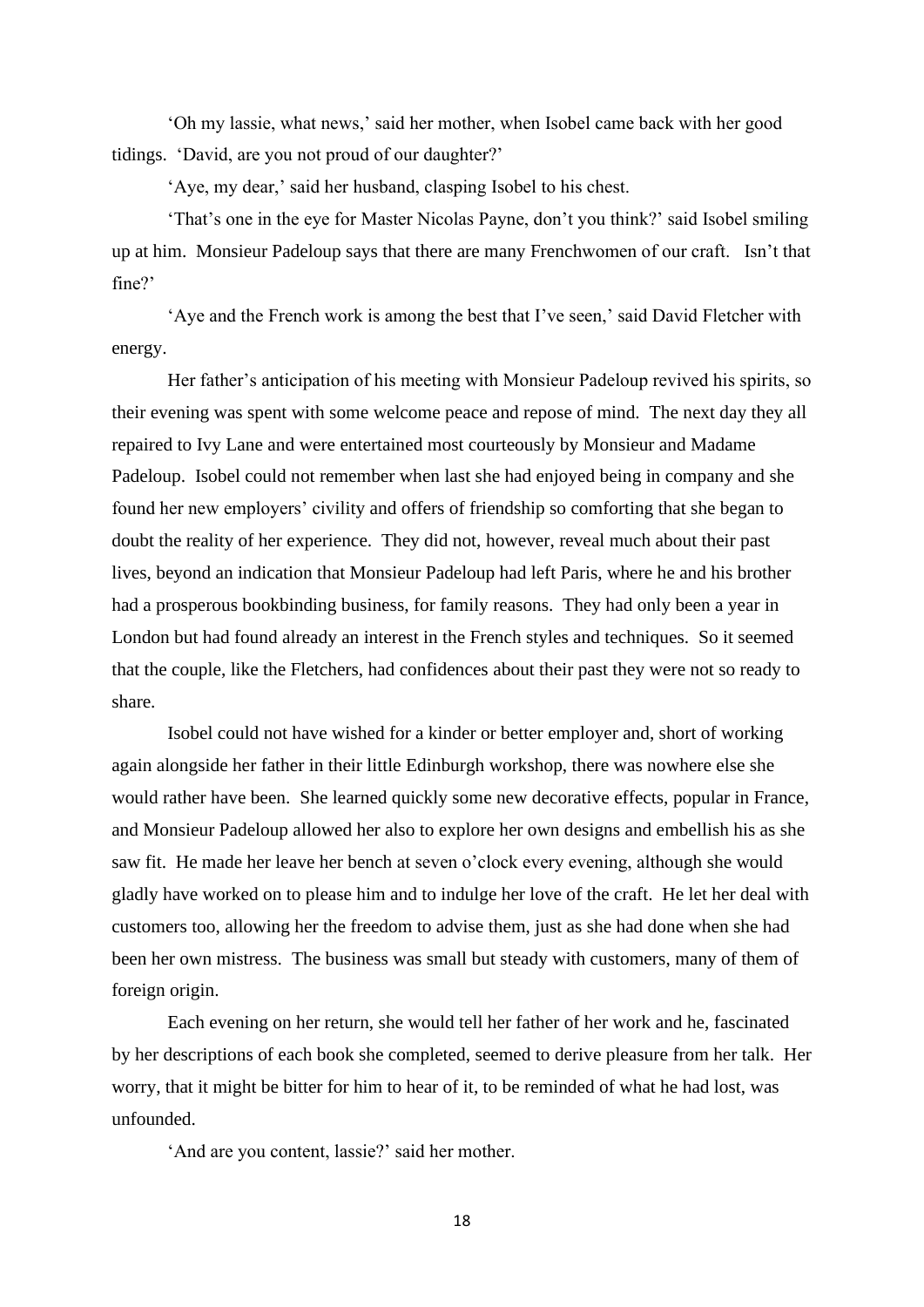'Oh my lassie, what news,' said her mother, when Isobel came back with her good tidings. 'David, are you not proud of our daughter?'

'Aye, my dear,' said her husband, clasping Isobel to his chest.

'That's one in the eye for Master Nicolas Payne, don't you think?' said Isobel smiling up at him. Monsieur Padeloup says that there are many Frenchwomen of our craft. Isn't that fine?'

'Aye and the French work is among the best that I've seen,' said David Fletcher with energy.

Her father's anticipation of his meeting with Monsieur Padeloup revived his spirits, so their evening was spent with some welcome peace and repose of mind. The next day they all repaired to Ivy Lane and were entertained most courteously by Monsieur and Madame Padeloup. Isobel could not remember when last she had enjoyed being in company and she found her new employers' civility and offers of friendship so comforting that she began to doubt the reality of her experience. They did not, however, reveal much about their past lives, beyond an indication that Monsieur Padeloup had left Paris, where he and his brother had a prosperous bookbinding business, for family reasons. They had only been a year in London but had found already an interest in the French styles and techniques. So it seemed that the couple, like the Fletchers, had confidences about their past they were not so ready to share.

Isobel could not have wished for a kinder or better employer and, short of working again alongside her father in their little Edinburgh workshop, there was nowhere else she would rather have been. She learned quickly some new decorative effects, popular in France, and Monsieur Padeloup allowed her also to explore her own designs and embellish his as she saw fit. He made her leave her bench at seven o'clock every evening, although she would gladly have worked on to please him and to indulge her love of the craft. He let her deal with customers too, allowing her the freedom to advise them, just as she had done when she had been her own mistress. The business was small but steady with customers, many of them of foreign origin.

Each evening on her return, she would tell her father of her work and he, fascinated by her descriptions of each book she completed, seemed to derive pleasure from her talk. Her worry, that it might be bitter for him to hear of it, to be reminded of what he had lost, was unfounded.

'And are you content, lassie?' said her mother.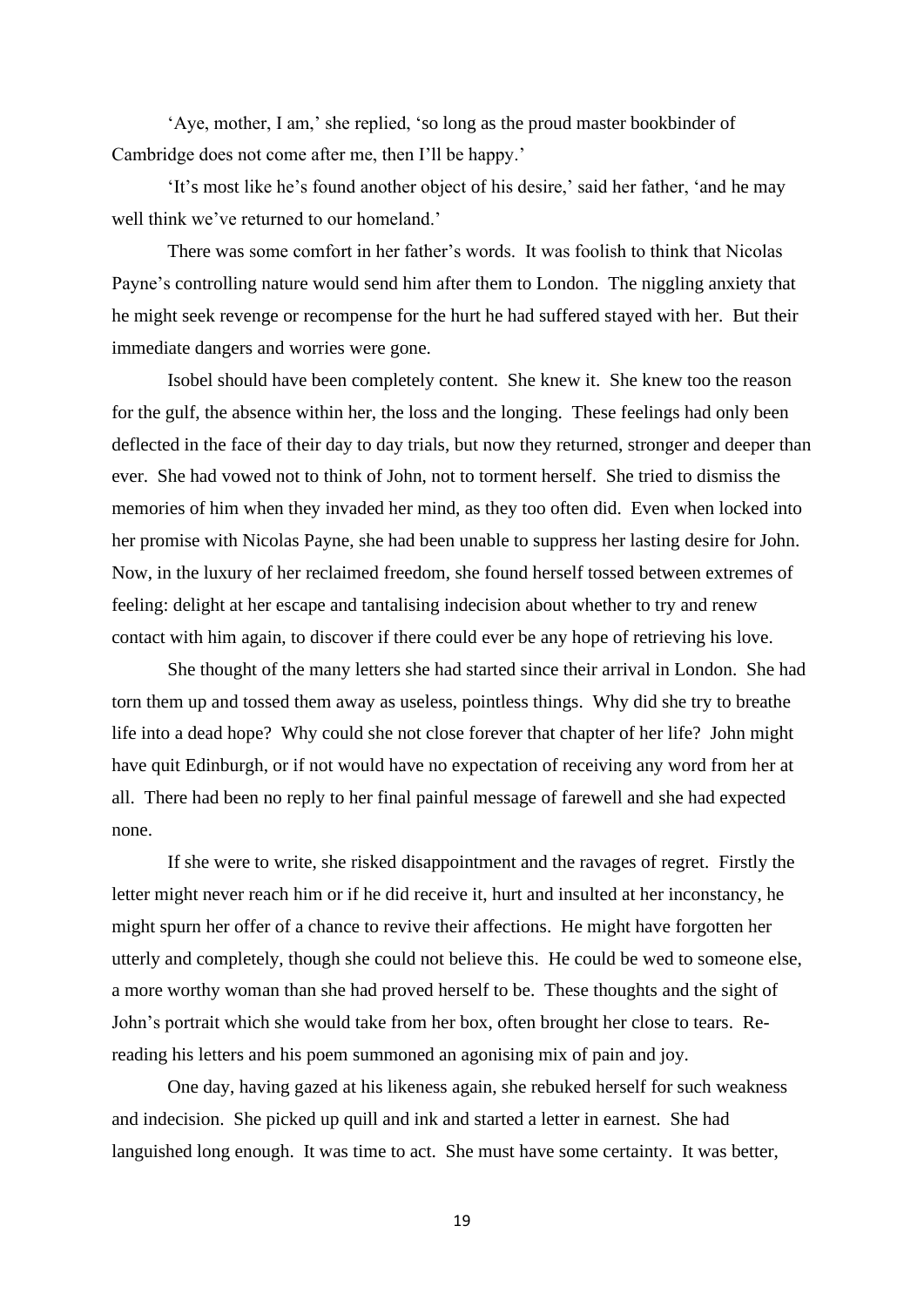'Aye, mother, I am,' she replied, 'so long as the proud master bookbinder of Cambridge does not come after me, then I'll be happy.'

'It's most like he's found another object of his desire,' said her father, 'and he may well think we've returned to our homeland.'

There was some comfort in her father's words. It was foolish to think that Nicolas Payne's controlling nature would send him after them to London. The niggling anxiety that he might seek revenge or recompense for the hurt he had suffered stayed with her. But their immediate dangers and worries were gone.

Isobel should have been completely content. She knew it. She knew too the reason for the gulf, the absence within her, the loss and the longing. These feelings had only been deflected in the face of their day to day trials, but now they returned, stronger and deeper than ever. She had vowed not to think of John, not to torment herself. She tried to dismiss the memories of him when they invaded her mind, as they too often did. Even when locked into her promise with Nicolas Payne, she had been unable to suppress her lasting desire for John. Now, in the luxury of her reclaimed freedom, she found herself tossed between extremes of feeling: delight at her escape and tantalising indecision about whether to try and renew contact with him again, to discover if there could ever be any hope of retrieving his love.

She thought of the many letters she had started since their arrival in London. She had torn them up and tossed them away as useless, pointless things. Why did she try to breathe life into a dead hope? Why could she not close forever that chapter of her life? John might have quit Edinburgh, or if not would have no expectation of receiving any word from her at all. There had been no reply to her final painful message of farewell and she had expected none.

If she were to write, she risked disappointment and the ravages of regret. Firstly the letter might never reach him or if he did receive it, hurt and insulted at her inconstancy, he might spurn her offer of a chance to revive their affections. He might have forgotten her utterly and completely, though she could not believe this. He could be wed to someone else, a more worthy woman than she had proved herself to be. These thoughts and the sight of John's portrait which she would take from her box, often brought her close to tears. Rereading his letters and his poem summoned an agonising mix of pain and joy.

One day, having gazed at his likeness again, she rebuked herself for such weakness and indecision. She picked up quill and ink and started a letter in earnest. She had languished long enough. It was time to act. She must have some certainty. It was better,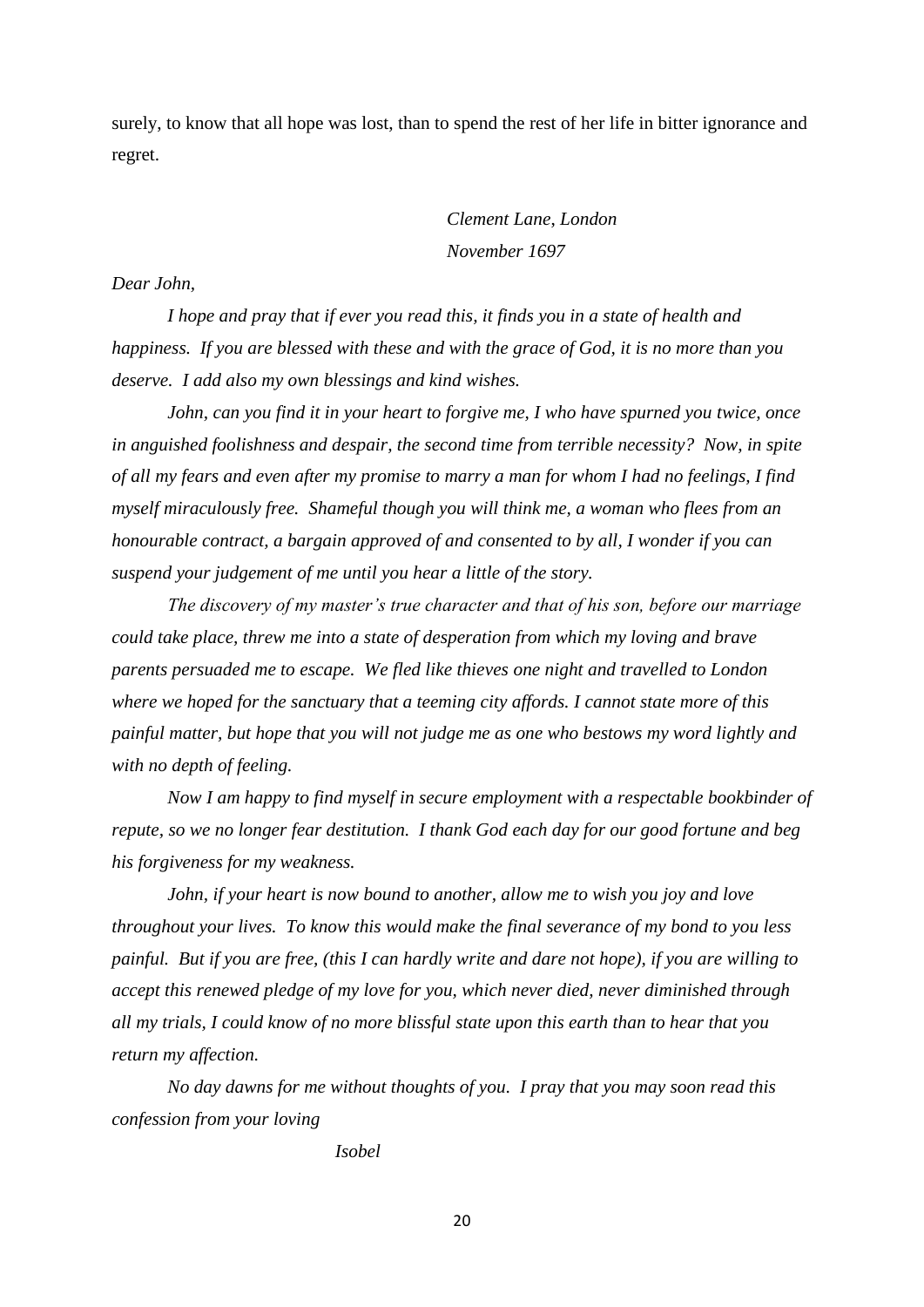surely, to know that all hope was lost, than to spend the rest of her life in bitter ignorance and regret.

> *Clement Lane*, *London November 1697*

# *Dear John,*

*I hope and pray that if ever you read this, it finds you in a state of health and happiness. If you are blessed with these and with the grace of God, it is no more than you deserve. I add also my own blessings and kind wishes.*

*John, can you find it in your heart to forgive me, I who have spurned you twice, once in anguished foolishness and despair, the second time from terrible necessity? Now, in spite of all my fears and even after my promise to marry a man for whom I had no feelings, I find myself miraculously free. Shameful though you will think me, a woman who flees from an honourable contract, a bargain approved of and consented to by all, I wonder if you can suspend your judgement of me until you hear a little of the story.*

*The discovery of my master's true character and that of his son, before our marriage could take place, threw me into a state of desperation from which my loving and brave parents persuaded me to escape. We fled like thieves one night and travelled to London where we hoped for the sanctuary that a teeming city affords. I cannot state more of this painful matter, but hope that you will not judge me as one who bestows my word lightly and with no depth of feeling.*

*Now I am happy to find myself in secure employment with a respectable bookbinder of repute, so we no longer fear destitution. I thank God each day for our good fortune and beg his forgiveness for my weakness.* 

*John, if your heart is now bound to another, allow me to wish you joy and love throughout your lives. To know this would make the final severance of my bond to you less painful. But if you are free, (this I can hardly write and dare not hope), if you are willing to accept this renewed pledge of my love for you, which never died, never diminished through all my trials, I could know of no more blissful state upon this earth than to hear that you return my affection.*

*No day dawns for me without thoughts of you. I pray that you may soon read this confession from your loving*

*Isobel*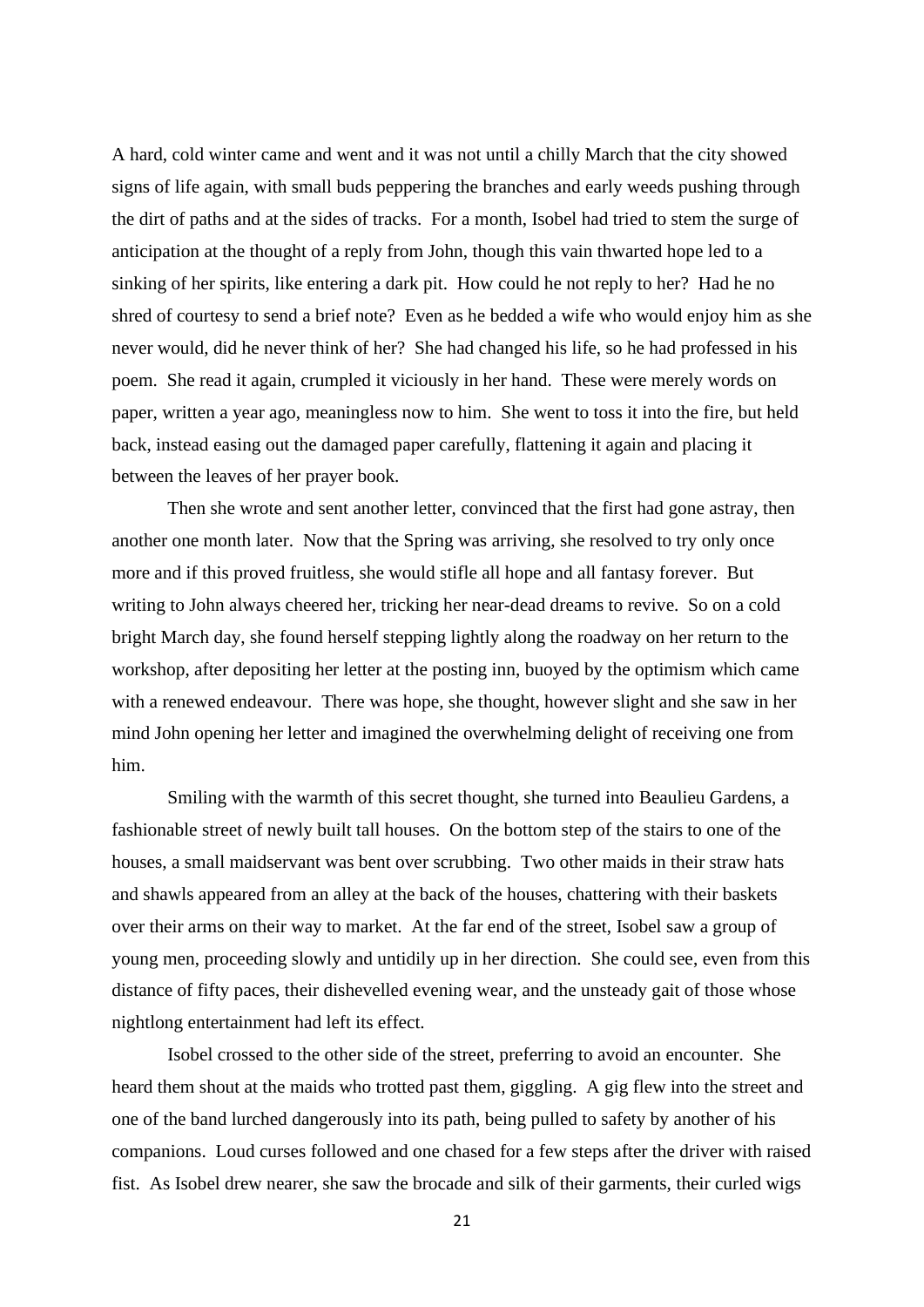A hard, cold winter came and went and it was not until a chilly March that the city showed signs of life again, with small buds peppering the branches and early weeds pushing through the dirt of paths and at the sides of tracks. For a month, Isobel had tried to stem the surge of anticipation at the thought of a reply from John, though this vain thwarted hope led to a sinking of her spirits, like entering a dark pit. How could he not reply to her? Had he no shred of courtesy to send a brief note? Even as he bedded a wife who would enjoy him as she never would, did he never think of her? She had changed his life, so he had professed in his poem. She read it again, crumpled it viciously in her hand. These were merely words on paper, written a year ago, meaningless now to him. She went to toss it into the fire, but held back, instead easing out the damaged paper carefully, flattening it again and placing it between the leaves of her prayer book.

Then she wrote and sent another letter, convinced that the first had gone astray, then another one month later. Now that the Spring was arriving, she resolved to try only once more and if this proved fruitless, she would stifle all hope and all fantasy forever. But writing to John always cheered her, tricking her near-dead dreams to revive. So on a cold bright March day, she found herself stepping lightly along the roadway on her return to the workshop, after depositing her letter at the posting inn, buoyed by the optimism which came with a renewed endeavour. There was hope, she thought, however slight and she saw in her mind John opening her letter and imagined the overwhelming delight of receiving one from him.

Smiling with the warmth of this secret thought, she turned into Beaulieu Gardens, a fashionable street of newly built tall houses. On the bottom step of the stairs to one of the houses, a small maidservant was bent over scrubbing. Two other maids in their straw hats and shawls appeared from an alley at the back of the houses, chattering with their baskets over their arms on their way to market. At the far end of the street, Isobel saw a group of young men, proceeding slowly and untidily up in her direction. She could see, even from this distance of fifty paces, their dishevelled evening wear, and the unsteady gait of those whose nightlong entertainment had left its effect.

Isobel crossed to the other side of the street, preferring to avoid an encounter. She heard them shout at the maids who trotted past them, giggling. A gig flew into the street and one of the band lurched dangerously into its path, being pulled to safety by another of his companions. Loud curses followed and one chased for a few steps after the driver with raised fist. As Isobel drew nearer, she saw the brocade and silk of their garments, their curled wigs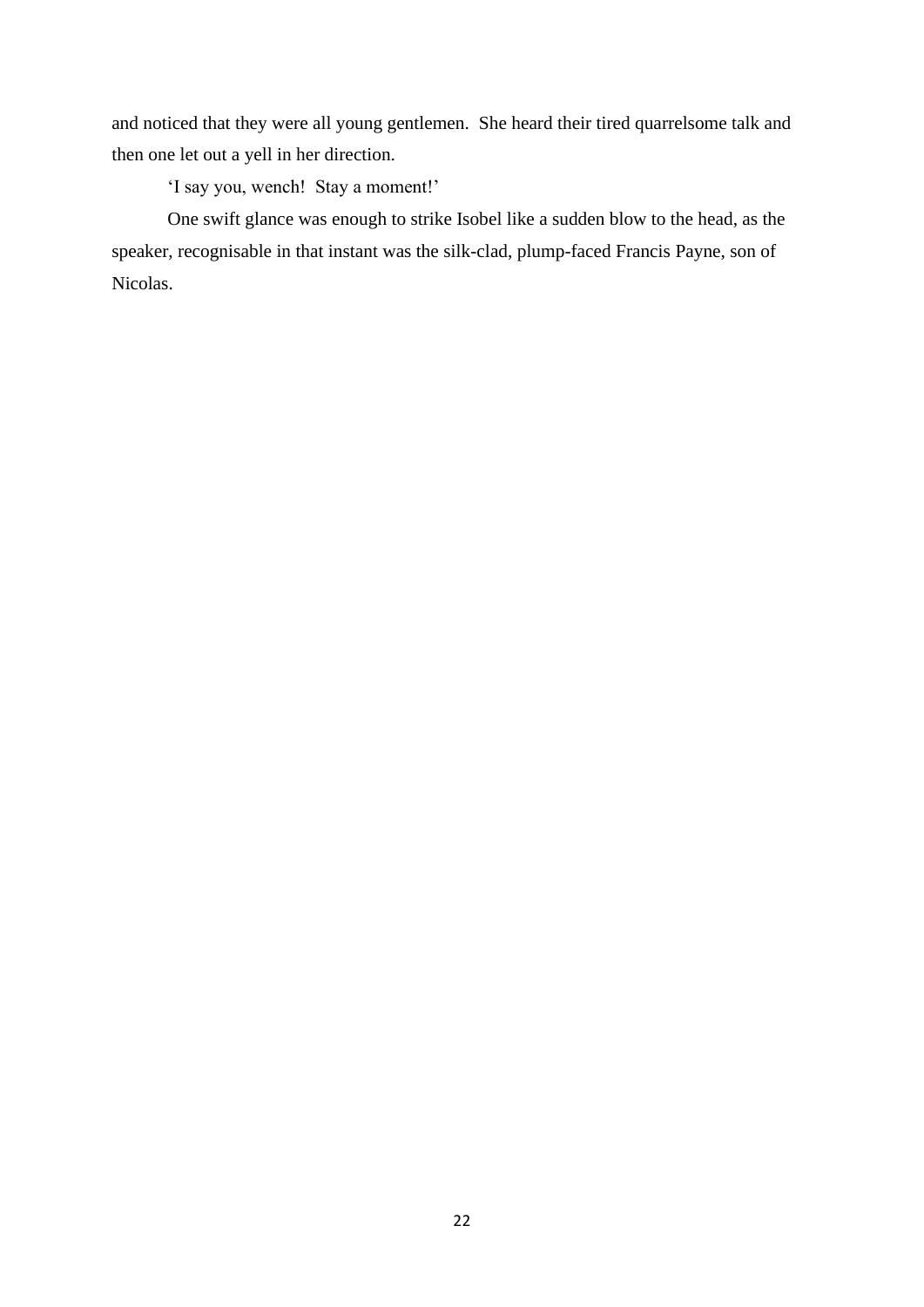and noticed that they were all young gentlemen. She heard their tired quarrelsome talk and then one let out a yell in her direction.

'I say you, wench! Stay a moment!'

One swift glance was enough to strike Isobel like a sudden blow to the head, as the speaker, recognisable in that instant was the silk-clad, plump-faced Francis Payne, son of Nicolas.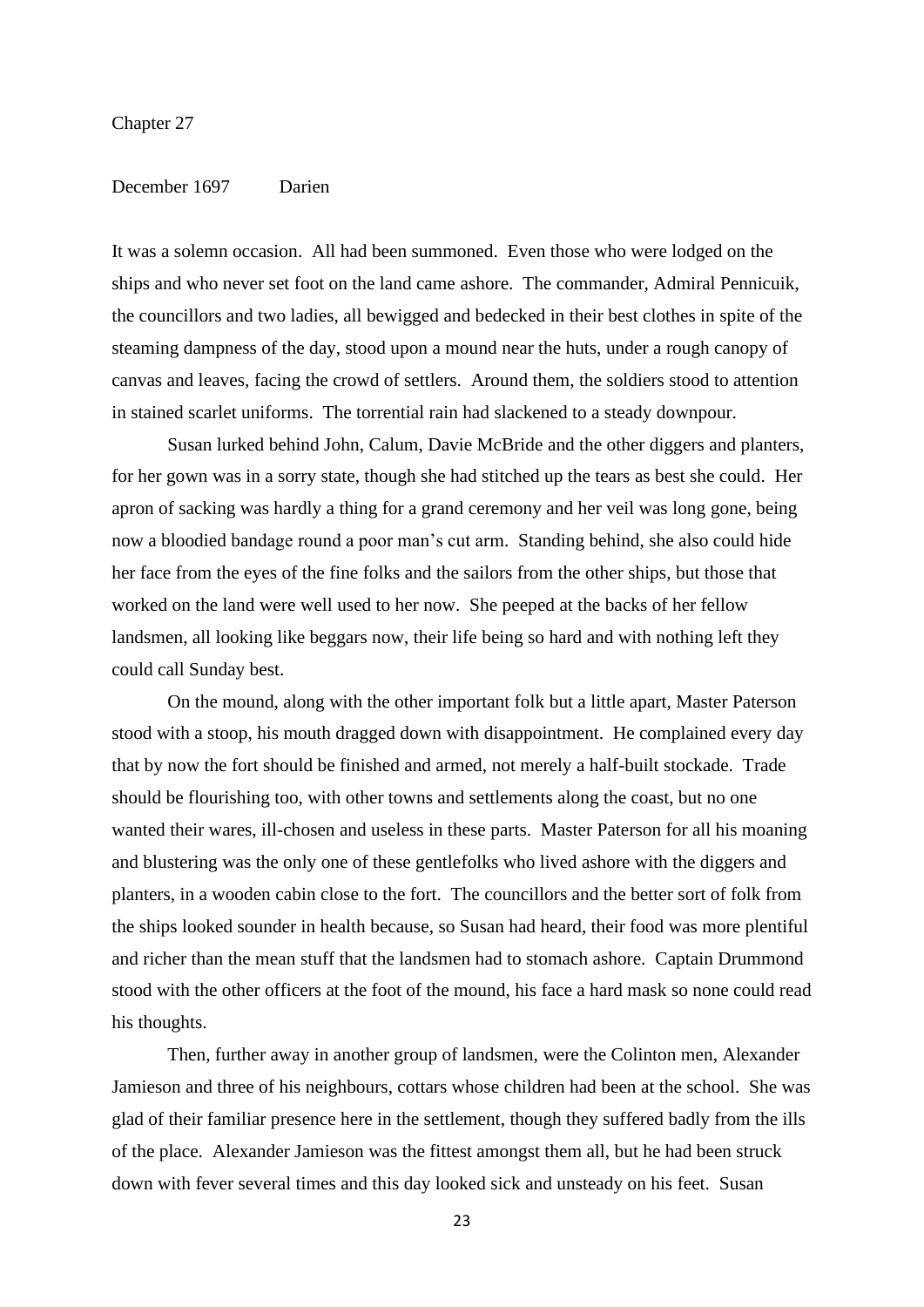### Chapter 27

# December 1697 Darien

It was a solemn occasion. All had been summoned. Even those who were lodged on the ships and who never set foot on the land came ashore. The commander, Admiral Pennicuik, the councillors and two ladies, all bewigged and bedecked in their best clothes in spite of the steaming dampness of the day, stood upon a mound near the huts, under a rough canopy of canvas and leaves, facing the crowd of settlers. Around them, the soldiers stood to attention in stained scarlet uniforms. The torrential rain had slackened to a steady downpour.

Susan lurked behind John, Calum, Davie McBride and the other diggers and planters, for her gown was in a sorry state, though she had stitched up the tears as best she could. Her apron of sacking was hardly a thing for a grand ceremony and her veil was long gone, being now a bloodied bandage round a poor man's cut arm. Standing behind, she also could hide her face from the eyes of the fine folks and the sailors from the other ships, but those that worked on the land were well used to her now. She peeped at the backs of her fellow landsmen, all looking like beggars now, their life being so hard and with nothing left they could call Sunday best.

On the mound, along with the other important folk but a little apart, Master Paterson stood with a stoop, his mouth dragged down with disappointment. He complained every day that by now the fort should be finished and armed, not merely a half-built stockade. Trade should be flourishing too, with other towns and settlements along the coast, but no one wanted their wares, ill-chosen and useless in these parts. Master Paterson for all his moaning and blustering was the only one of these gentlefolks who lived ashore with the diggers and planters, in a wooden cabin close to the fort. The councillors and the better sort of folk from the ships looked sounder in health because, so Susan had heard, their food was more plentiful and richer than the mean stuff that the landsmen had to stomach ashore. Captain Drummond stood with the other officers at the foot of the mound, his face a hard mask so none could read his thoughts.

Then, further away in another group of landsmen, were the Colinton men, Alexander Jamieson and three of his neighbours, cottars whose children had been at the school. She was glad of their familiar presence here in the settlement, though they suffered badly from the ills of the place. Alexander Jamieson was the fittest amongst them all, but he had been struck down with fever several times and this day looked sick and unsteady on his feet. Susan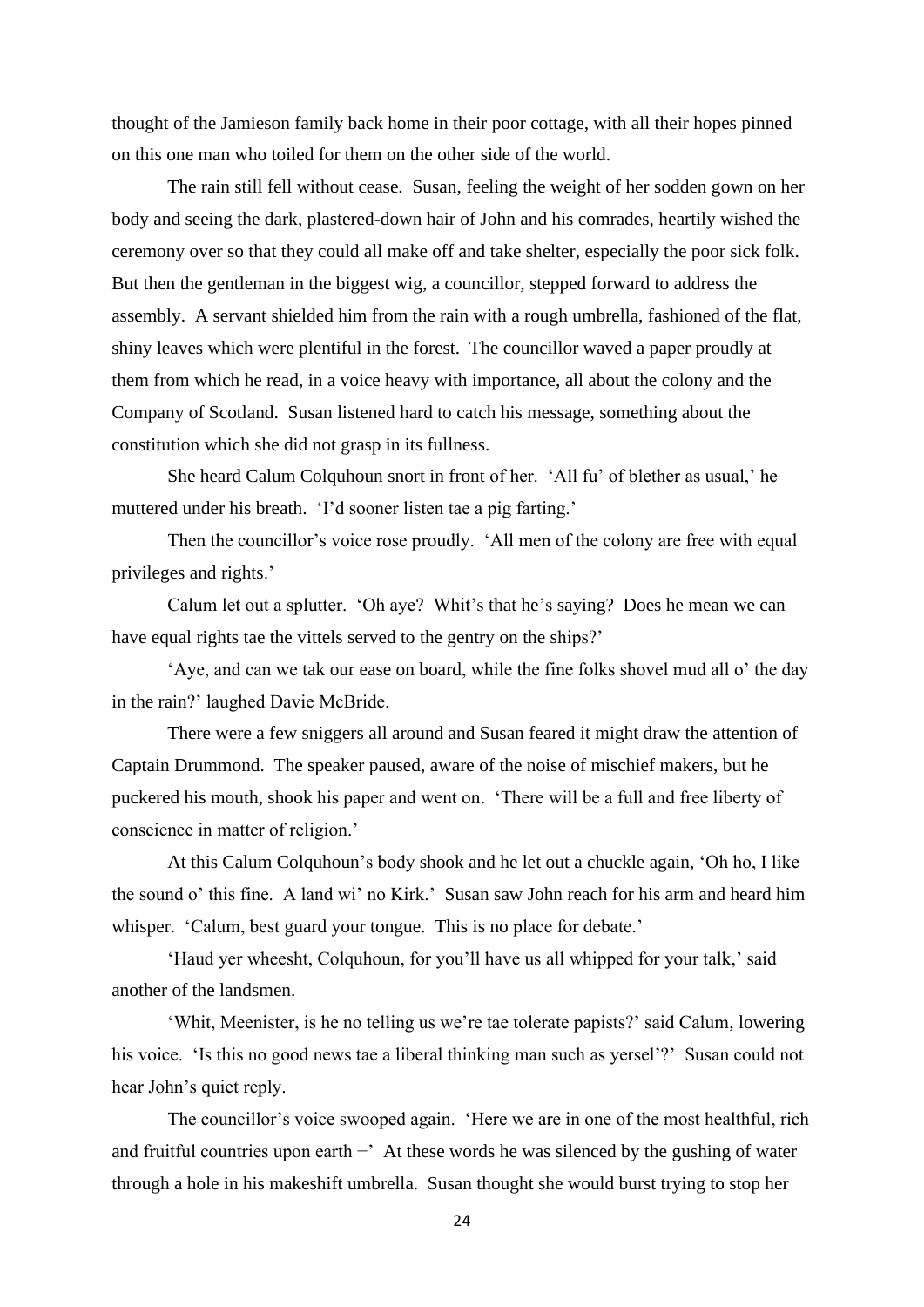thought of the Jamieson family back home in their poor cottage, with all their hopes pinned on this one man who toiled for them on the other side of the world.

The rain still fell without cease. Susan, feeling the weight of her sodden gown on her body and seeing the dark, plastered-down hair of John and his comrades, heartily wished the ceremony over so that they could all make off and take shelter, especially the poor sick folk. But then the gentleman in the biggest wig, a councillor, stepped forward to address the assembly. A servant shielded him from the rain with a rough umbrella, fashioned of the flat, shiny leaves which were plentiful in the forest. The councillor waved a paper proudly at them from which he read, in a voice heavy with importance, all about the colony and the Company of Scotland. Susan listened hard to catch his message, something about the constitution which she did not grasp in its fullness.

She heard Calum Colquhoun snort in front of her. 'All fu' of blether as usual,' he muttered under his breath. 'I'd sooner listen tae a pig farting.'

Then the councillor's voice rose proudly. 'All men of the colony are free with equal privileges and rights.'

Calum let out a splutter. 'Oh aye? Whit's that he's saying? Does he mean we can have equal rights tae the vittels served to the gentry on the ships?'

'Aye, and can we tak our ease on board, while the fine folks shovel mud all o' the day in the rain?' laughed Davie McBride.

There were a few sniggers all around and Susan feared it might draw the attention of Captain Drummond. The speaker paused, aware of the noise of mischief makers, but he puckered his mouth, shook his paper and went on. 'There will be a full and free liberty of conscience in matter of religion.'

At this Calum Colquhoun's body shook and he let out a chuckle again, 'Oh ho, I like the sound o' this fine. A land wi' no Kirk.' Susan saw John reach for his arm and heard him whisper. 'Calum, best guard your tongue. This is no place for debate.'

'Haud yer wheesht, Colquhoun, for you'll have us all whipped for your talk,' said another of the landsmen.

'Whit, Meenister, is he no telling us we're tae tolerate papists?' said Calum, lowering his voice. 'Is this no good news tae a liberal thinking man such as yersel'?' Susan could not hear John's quiet reply.

The councillor's voice swooped again. 'Here we are in one of the most healthful, rich and fruitful countries upon earth −' At these words he was silenced by the gushing of water through a hole in his makeshift umbrella. Susan thought she would burst trying to stop her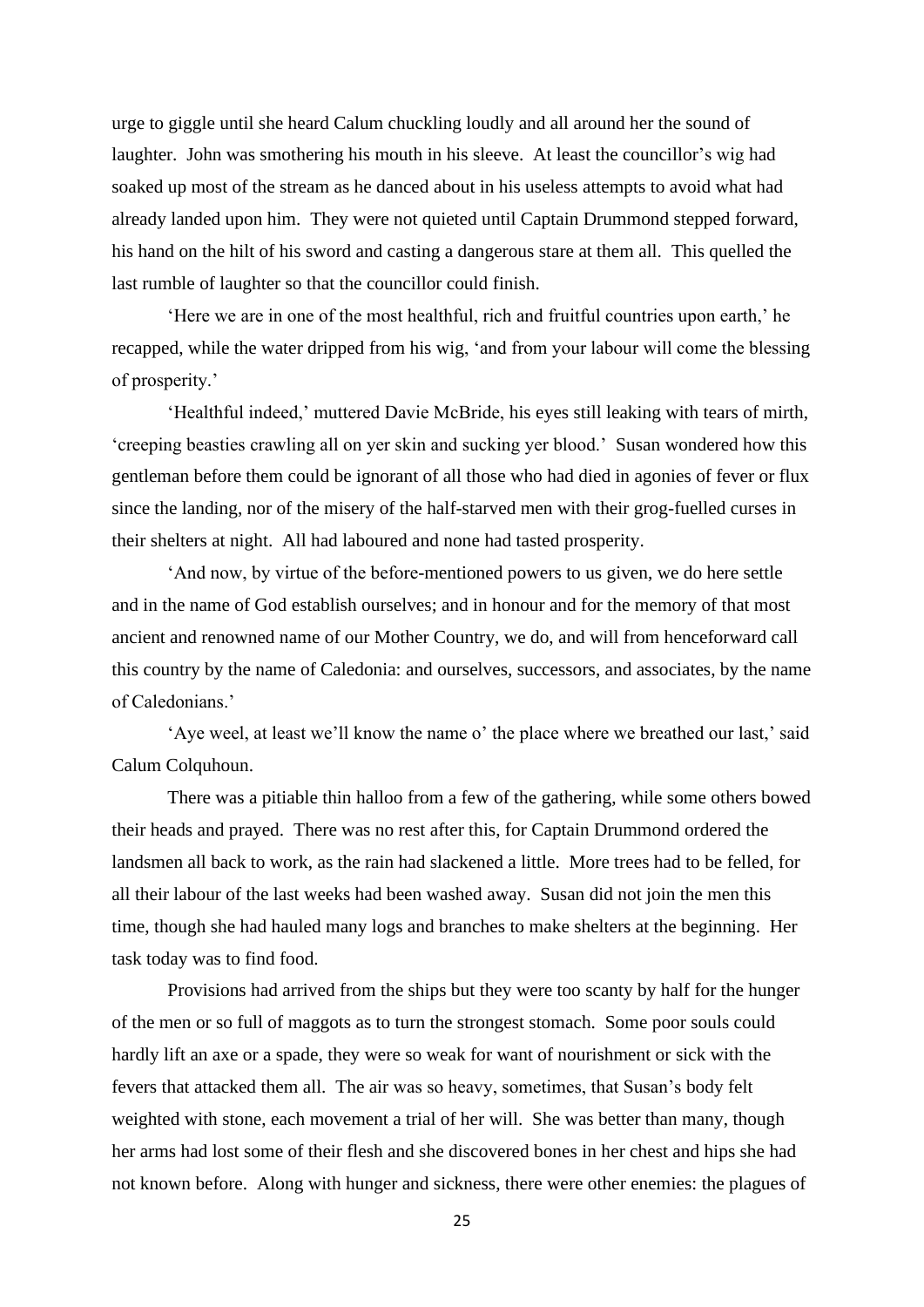urge to giggle until she heard Calum chuckling loudly and all around her the sound of laughter. John was smothering his mouth in his sleeve. At least the councillor's wig had soaked up most of the stream as he danced about in his useless attempts to avoid what had already landed upon him. They were not quieted until Captain Drummond stepped forward, his hand on the hilt of his sword and casting a dangerous stare at them all. This quelled the last rumble of laughter so that the councillor could finish.

'Here we are in one of the most healthful, rich and fruitful countries upon earth,' he recapped, while the water dripped from his wig, 'and from your labour will come the blessing of prosperity.'

'Healthful indeed,' muttered Davie McBride, his eyes still leaking with tears of mirth, 'creeping beasties crawling all on yer skin and sucking yer blood.' Susan wondered how this gentleman before them could be ignorant of all those who had died in agonies of fever or flux since the landing, nor of the misery of the half-starved men with their grog-fuelled curses in their shelters at night. All had laboured and none had tasted prosperity.

'And now, by virtue of the before-mentioned powers to us given, we do here settle and in the name of God establish ourselves; and in honour and for the memory of that most ancient and renowned name of our Mother Country, we do, and will from henceforward call this country by the name of Caledonia: and ourselves, successors, and associates, by the name of Caledonians.'

'Aye weel, at least we'll know the name o' the place where we breathed our last,' said Calum Colquhoun.

There was a pitiable thin halloo from a few of the gathering, while some others bowed their heads and prayed. There was no rest after this, for Captain Drummond ordered the landsmen all back to work, as the rain had slackened a little. More trees had to be felled, for all their labour of the last weeks had been washed away. Susan did not join the men this time, though she had hauled many logs and branches to make shelters at the beginning. Her task today was to find food.

Provisions had arrived from the ships but they were too scanty by half for the hunger of the men or so full of maggots as to turn the strongest stomach. Some poor souls could hardly lift an axe or a spade, they were so weak for want of nourishment or sick with the fevers that attacked them all. The air was so heavy, sometimes, that Susan's body felt weighted with stone, each movement a trial of her will. She was better than many, though her arms had lost some of their flesh and she discovered bones in her chest and hips she had not known before. Along with hunger and sickness, there were other enemies: the plagues of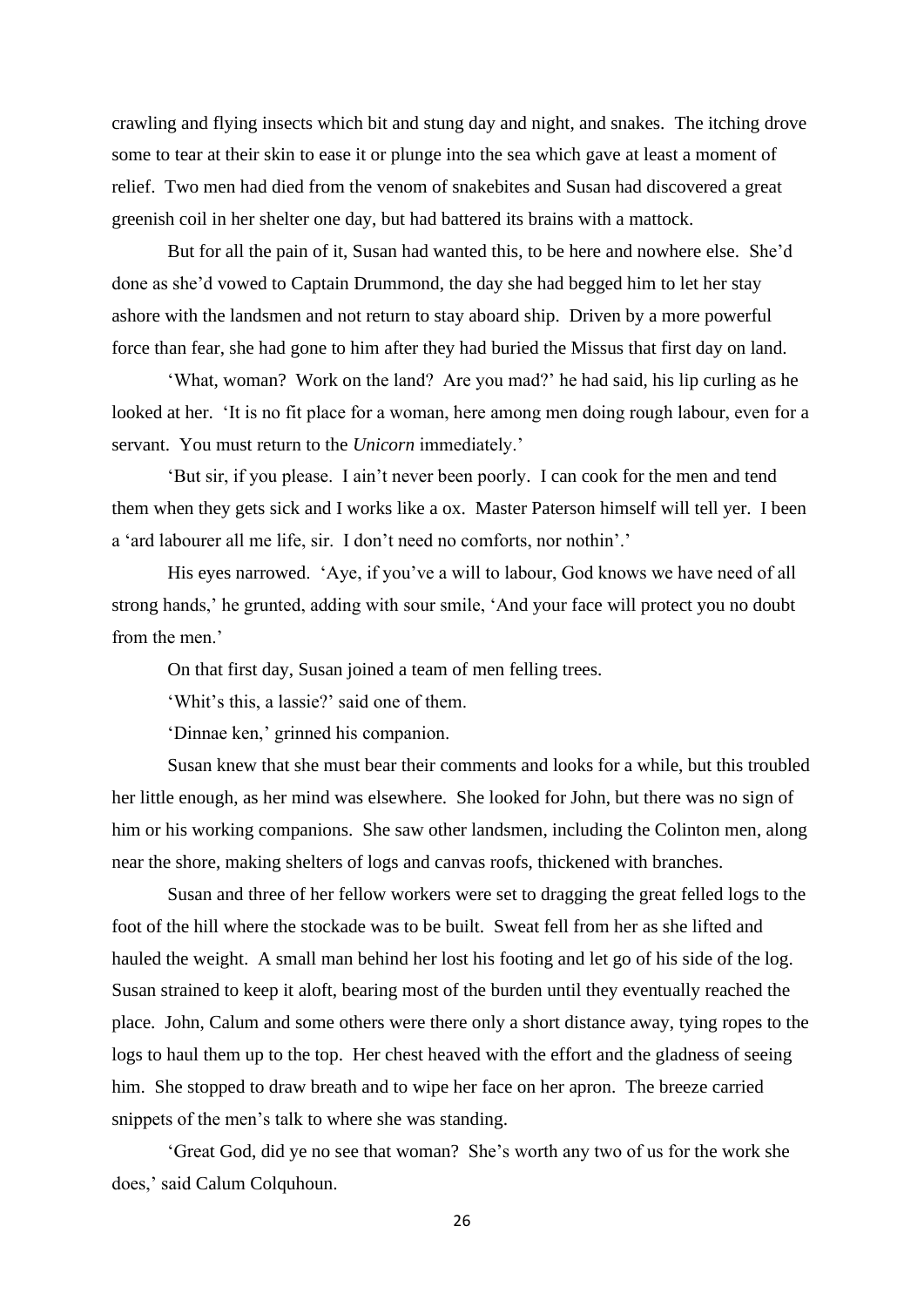crawling and flying insects which bit and stung day and night, and snakes. The itching drove some to tear at their skin to ease it or plunge into the sea which gave at least a moment of relief. Two men had died from the venom of snakebites and Susan had discovered a great greenish coil in her shelter one day, but had battered its brains with a mattock.

But for all the pain of it, Susan had wanted this, to be here and nowhere else. She'd done as she'd vowed to Captain Drummond, the day she had begged him to let her stay ashore with the landsmen and not return to stay aboard ship. Driven by a more powerful force than fear, she had gone to him after they had buried the Missus that first day on land.

'What, woman? Work on the land? Are you mad?' he had said, his lip curling as he looked at her. 'It is no fit place for a woman, here among men doing rough labour, even for a servant. You must return to the *Unicorn* immediately.'

'But sir, if you please. I ain't never been poorly. I can cook for the men and tend them when they gets sick and I works like a ox. Master Paterson himself will tell yer. I been a 'ard labourer all me life, sir. I don't need no comforts, nor nothin'.'

His eyes narrowed. 'Aye, if you've a will to labour, God knows we have need of all strong hands,' he grunted, adding with sour smile, 'And your face will protect you no doubt from the men.'

On that first day, Susan joined a team of men felling trees.

'Whit's this, a lassie?' said one of them.

'Dinnae ken,' grinned his companion.

Susan knew that she must bear their comments and looks for a while, but this troubled her little enough, as her mind was elsewhere. She looked for John, but there was no sign of him or his working companions. She saw other landsmen, including the Colinton men, along near the shore, making shelters of logs and canvas roofs, thickened with branches.

Susan and three of her fellow workers were set to dragging the great felled logs to the foot of the hill where the stockade was to be built. Sweat fell from her as she lifted and hauled the weight. A small man behind her lost his footing and let go of his side of the log. Susan strained to keep it aloft, bearing most of the burden until they eventually reached the place. John, Calum and some others were there only a short distance away, tying ropes to the logs to haul them up to the top. Her chest heaved with the effort and the gladness of seeing him. She stopped to draw breath and to wipe her face on her apron. The breeze carried snippets of the men's talk to where she was standing.

'Great God, did ye no see that woman? She's worth any two of us for the work she does,' said Calum Colquhoun.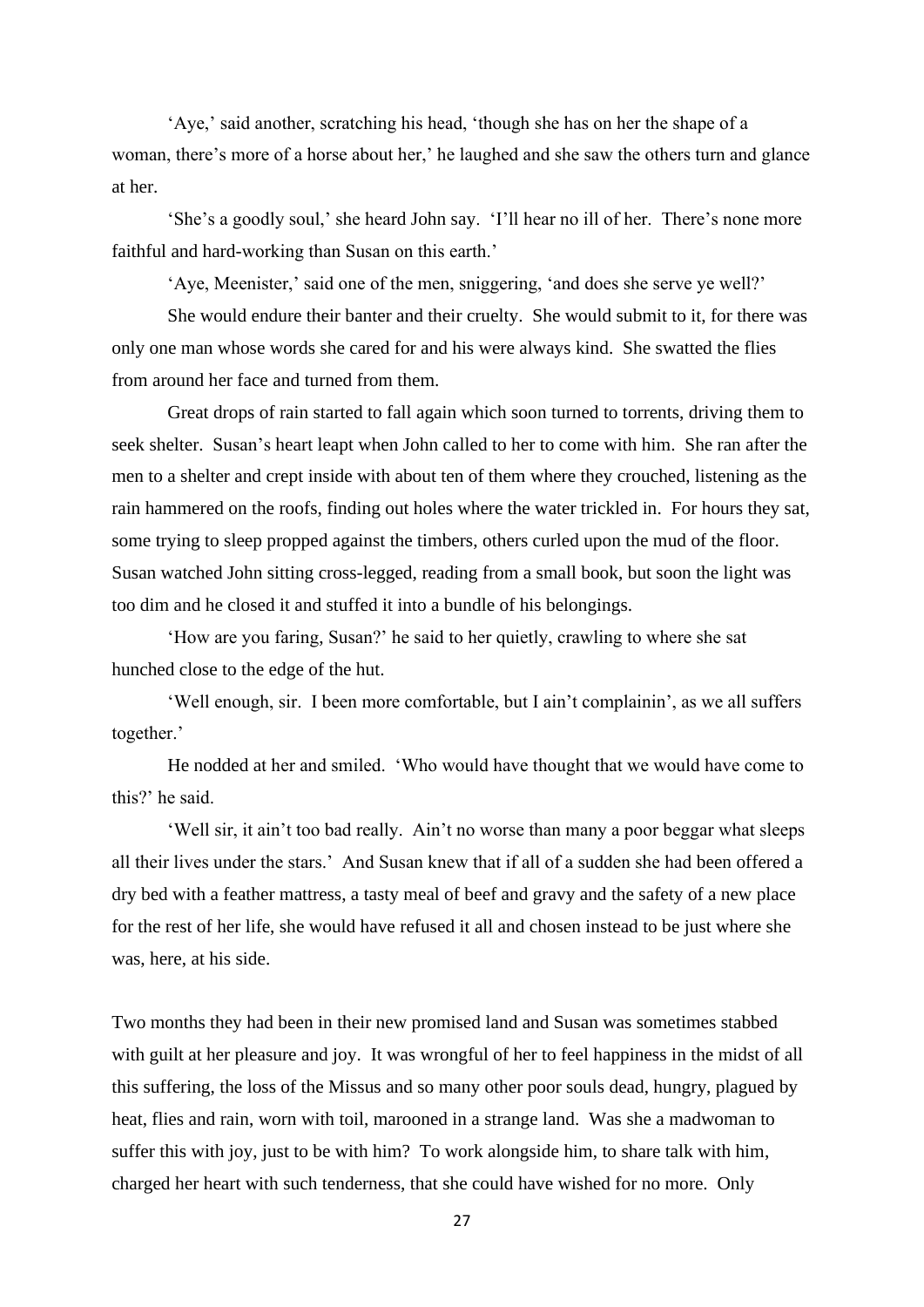'Aye,' said another, scratching his head, 'though she has on her the shape of a woman, there's more of a horse about her,' he laughed and she saw the others turn and glance at her.

'She's a goodly soul,' she heard John say. 'I'll hear no ill of her. There's none more faithful and hard-working than Susan on this earth.'

'Aye, Meenister,' said one of the men, sniggering, 'and does she serve ye well?'

She would endure their banter and their cruelty. She would submit to it, for there was only one man whose words she cared for and his were always kind. She swatted the flies from around her face and turned from them.

Great drops of rain started to fall again which soon turned to torrents, driving them to seek shelter. Susan's heart leapt when John called to her to come with him. She ran after the men to a shelter and crept inside with about ten of them where they crouched, listening as the rain hammered on the roofs, finding out holes where the water trickled in. For hours they sat, some trying to sleep propped against the timbers, others curled upon the mud of the floor. Susan watched John sitting cross-legged, reading from a small book, but soon the light was too dim and he closed it and stuffed it into a bundle of his belongings.

'How are you faring, Susan?' he said to her quietly, crawling to where she sat hunched close to the edge of the hut.

'Well enough, sir. I been more comfortable, but I ain't complainin', as we all suffers together.'

He nodded at her and smiled. 'Who would have thought that we would have come to this?' he said.

'Well sir, it ain't too bad really. Ain't no worse than many a poor beggar what sleeps all their lives under the stars.' And Susan knew that if all of a sudden she had been offered a dry bed with a feather mattress, a tasty meal of beef and gravy and the safety of a new place for the rest of her life, she would have refused it all and chosen instead to be just where she was, here, at his side.

Two months they had been in their new promised land and Susan was sometimes stabbed with guilt at her pleasure and joy. It was wrongful of her to feel happiness in the midst of all this suffering, the loss of the Missus and so many other poor souls dead, hungry, plagued by heat, flies and rain, worn with toil, marooned in a strange land. Was she a madwoman to suffer this with joy, just to be with him? To work alongside him, to share talk with him, charged her heart with such tenderness, that she could have wished for no more. Only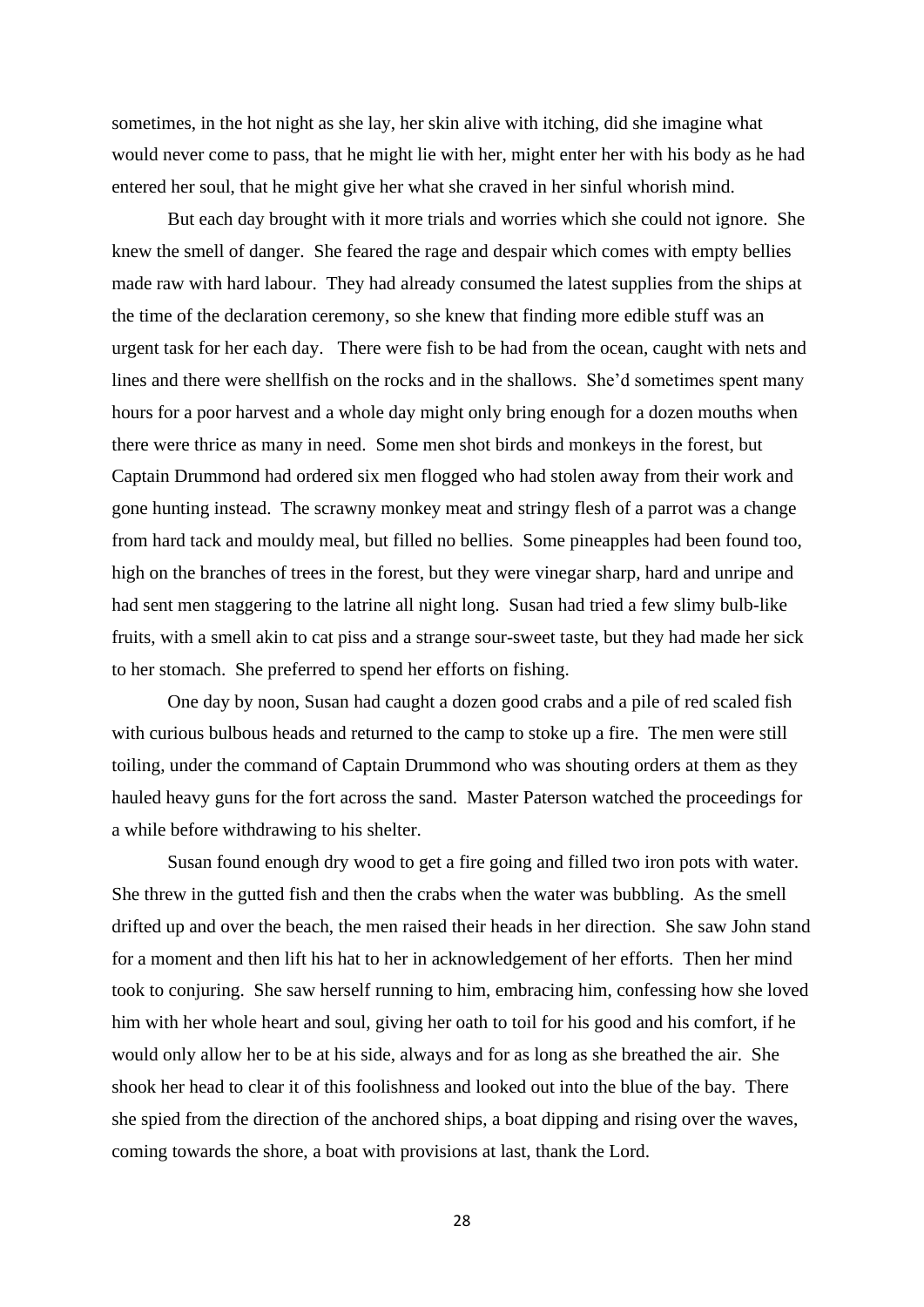sometimes, in the hot night as she lay, her skin alive with itching, did she imagine what would never come to pass, that he might lie with her, might enter her with his body as he had entered her soul, that he might give her what she craved in her sinful whorish mind.

But each day brought with it more trials and worries which she could not ignore. She knew the smell of danger. She feared the rage and despair which comes with empty bellies made raw with hard labour. They had already consumed the latest supplies from the ships at the time of the declaration ceremony, so she knew that finding more edible stuff was an urgent task for her each day. There were fish to be had from the ocean, caught with nets and lines and there were shellfish on the rocks and in the shallows. She'd sometimes spent many hours for a poor harvest and a whole day might only bring enough for a dozen mouths when there were thrice as many in need. Some men shot birds and monkeys in the forest, but Captain Drummond had ordered six men flogged who had stolen away from their work and gone hunting instead. The scrawny monkey meat and stringy flesh of a parrot was a change from hard tack and mouldy meal, but filled no bellies. Some pineapples had been found too, high on the branches of trees in the forest, but they were vinegar sharp, hard and unripe and had sent men staggering to the latrine all night long. Susan had tried a few slimy bulb-like fruits, with a smell akin to cat piss and a strange sour-sweet taste, but they had made her sick to her stomach. She preferred to spend her efforts on fishing.

One day by noon, Susan had caught a dozen good crabs and a pile of red scaled fish with curious bulbous heads and returned to the camp to stoke up a fire. The men were still toiling, under the command of Captain Drummond who was shouting orders at them as they hauled heavy guns for the fort across the sand. Master Paterson watched the proceedings for a while before withdrawing to his shelter.

Susan found enough dry wood to get a fire going and filled two iron pots with water. She threw in the gutted fish and then the crabs when the water was bubbling. As the smell drifted up and over the beach, the men raised their heads in her direction. She saw John stand for a moment and then lift his hat to her in acknowledgement of her efforts. Then her mind took to conjuring. She saw herself running to him, embracing him, confessing how she loved him with her whole heart and soul, giving her oath to toil for his good and his comfort, if he would only allow her to be at his side, always and for as long as she breathed the air. She shook her head to clear it of this foolishness and looked out into the blue of the bay. There she spied from the direction of the anchored ships, a boat dipping and rising over the waves, coming towards the shore, a boat with provisions at last, thank the Lord.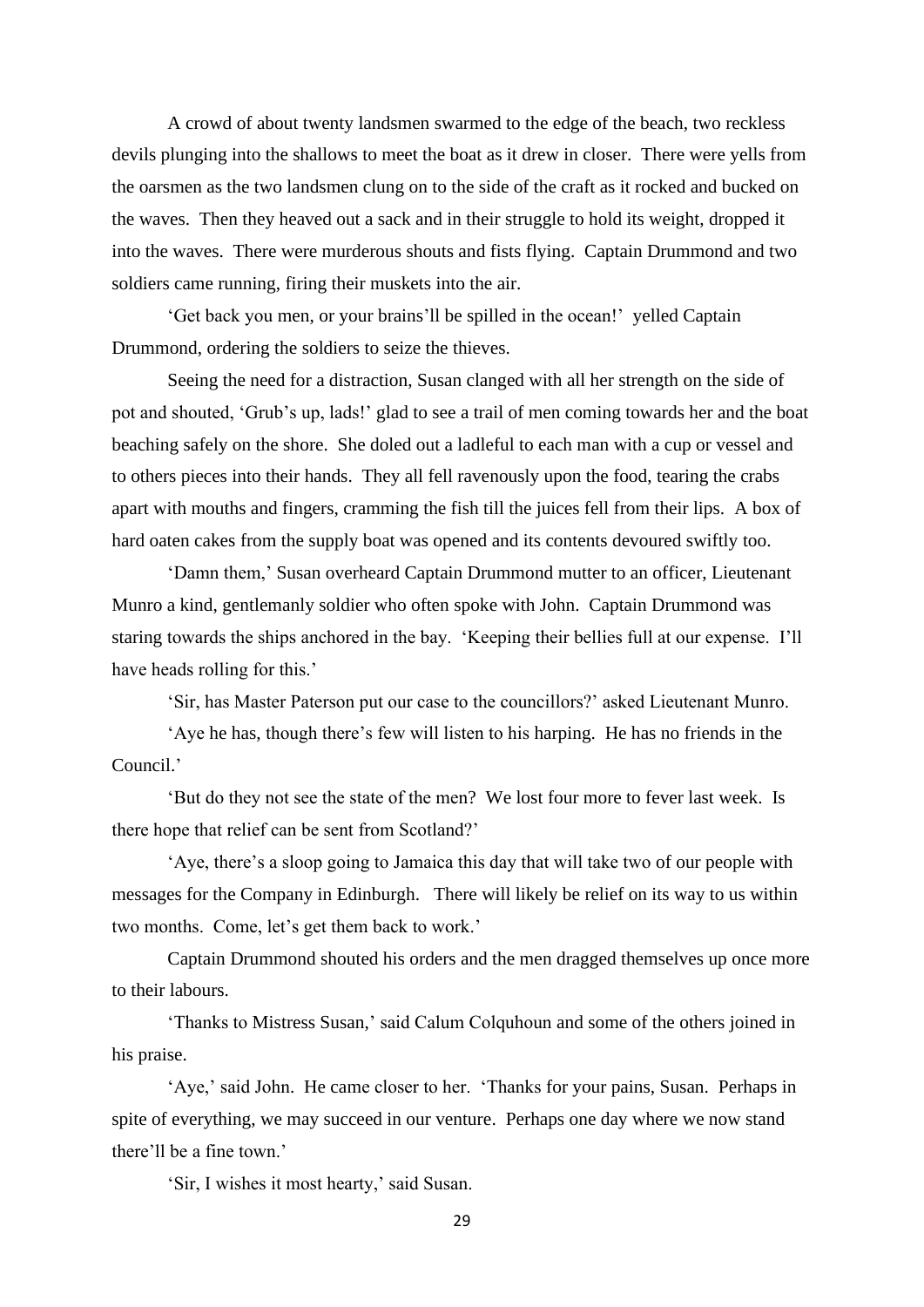A crowd of about twenty landsmen swarmed to the edge of the beach, two reckless devils plunging into the shallows to meet the boat as it drew in closer. There were yells from the oarsmen as the two landsmen clung on to the side of the craft as it rocked and bucked on the waves. Then they heaved out a sack and in their struggle to hold its weight, dropped it into the waves. There were murderous shouts and fists flying. Captain Drummond and two soldiers came running, firing their muskets into the air.

'Get back you men, or your brains'll be spilled in the ocean!' yelled Captain Drummond, ordering the soldiers to seize the thieves.

Seeing the need for a distraction, Susan clanged with all her strength on the side of pot and shouted, 'Grub's up, lads!' glad to see a trail of men coming towards her and the boat beaching safely on the shore. She doled out a ladleful to each man with a cup or vessel and to others pieces into their hands. They all fell ravenously upon the food, tearing the crabs apart with mouths and fingers, cramming the fish till the juices fell from their lips. A box of hard oaten cakes from the supply boat was opened and its contents devoured swiftly too.

'Damn them,' Susan overheard Captain Drummond mutter to an officer, Lieutenant Munro a kind, gentlemanly soldier who often spoke with John. Captain Drummond was staring towards the ships anchored in the bay. 'Keeping their bellies full at our expense. I'll have heads rolling for this.'

'Sir, has Master Paterson put our case to the councillors?' asked Lieutenant Munro.

'Aye he has, though there's few will listen to his harping. He has no friends in the Council.'

'But do they not see the state of the men? We lost four more to fever last week. Is there hope that relief can be sent from Scotland?'

'Aye, there's a sloop going to Jamaica this day that will take two of our people with messages for the Company in Edinburgh. There will likely be relief on its way to us within two months. Come, let's get them back to work.'

Captain Drummond shouted his orders and the men dragged themselves up once more to their labours.

'Thanks to Mistress Susan,' said Calum Colquhoun and some of the others joined in his praise.

'Aye,' said John. He came closer to her. 'Thanks for your pains, Susan. Perhaps in spite of everything, we may succeed in our venture. Perhaps one day where we now stand there'll be a fine town.'

'Sir, I wishes it most hearty,' said Susan.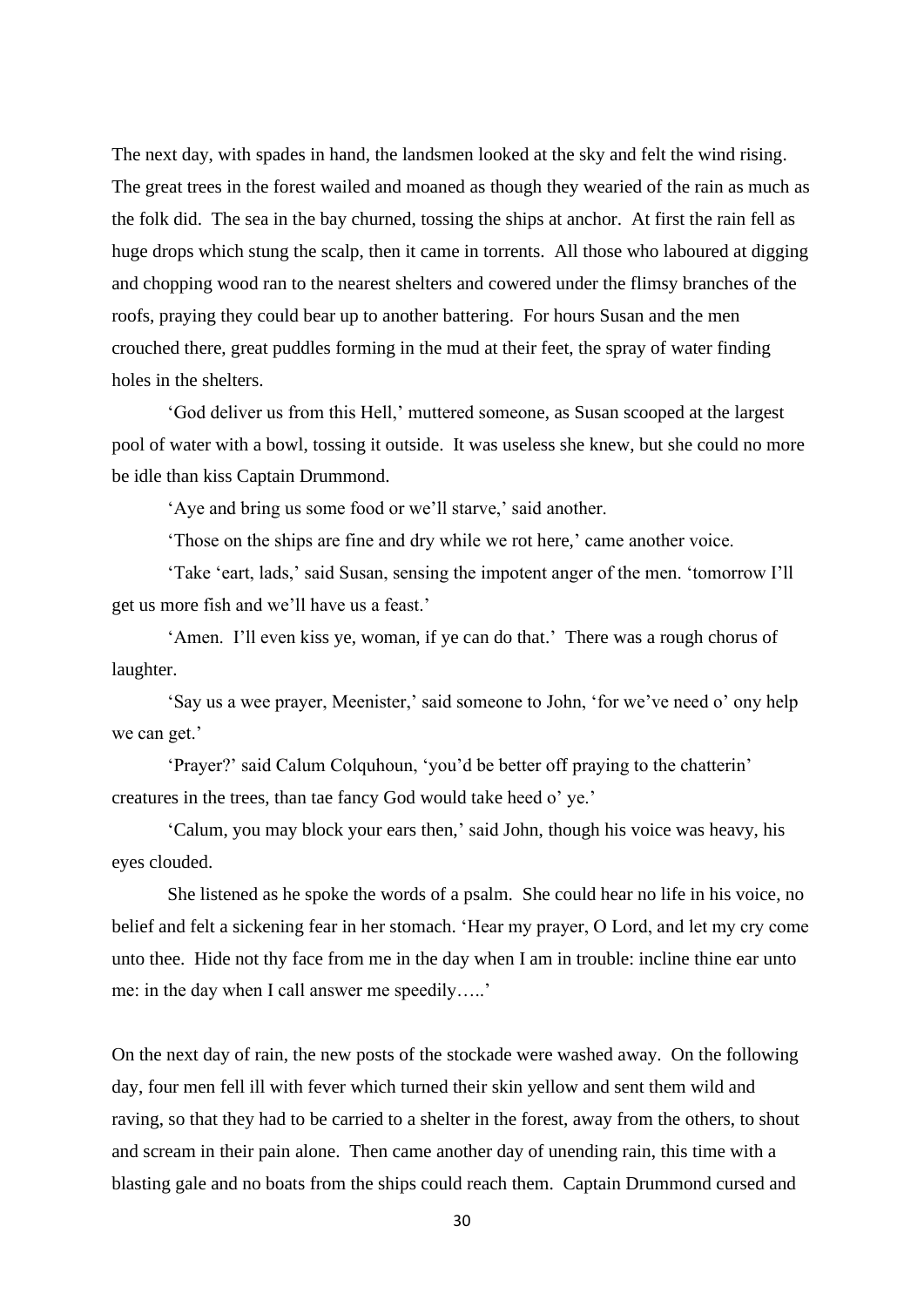The next day, with spades in hand, the landsmen looked at the sky and felt the wind rising. The great trees in the forest wailed and moaned as though they wearied of the rain as much as the folk did. The sea in the bay churned, tossing the ships at anchor. At first the rain fell as huge drops which stung the scalp, then it came in torrents. All those who laboured at digging and chopping wood ran to the nearest shelters and cowered under the flimsy branches of the roofs, praying they could bear up to another battering. For hours Susan and the men crouched there, great puddles forming in the mud at their feet, the spray of water finding holes in the shelters.

'God deliver us from this Hell,' muttered someone, as Susan scooped at the largest pool of water with a bowl, tossing it outside. It was useless she knew, but she could no more be idle than kiss Captain Drummond.

'Aye and bring us some food or we'll starve,' said another.

'Those on the ships are fine and dry while we rot here,' came another voice.

'Take 'eart, lads,' said Susan, sensing the impotent anger of the men. 'tomorrow I'll get us more fish and we'll have us a feast.'

'Amen. I'll even kiss ye, woman, if ye can do that.' There was a rough chorus of laughter.

'Say us a wee prayer, Meenister,' said someone to John, 'for we've need o' ony help we can get.'

'Prayer?' said Calum Colquhoun, 'you'd be better off praying to the chatterin' creatures in the trees, than tae fancy God would take heed o' ye.'

'Calum, you may block your ears then,' said John, though his voice was heavy, his eyes clouded.

She listened as he spoke the words of a psalm. She could hear no life in his voice, no belief and felt a sickening fear in her stomach. 'Hear my prayer, O Lord, and let my cry come unto thee. Hide not thy face from me in the day when I am in trouble: incline thine ear unto me: in the day when I call answer me speedily…..'

On the next day of rain, the new posts of the stockade were washed away. On the following day, four men fell ill with fever which turned their skin yellow and sent them wild and raving, so that they had to be carried to a shelter in the forest, away from the others, to shout and scream in their pain alone. Then came another day of unending rain, this time with a blasting gale and no boats from the ships could reach them. Captain Drummond cursed and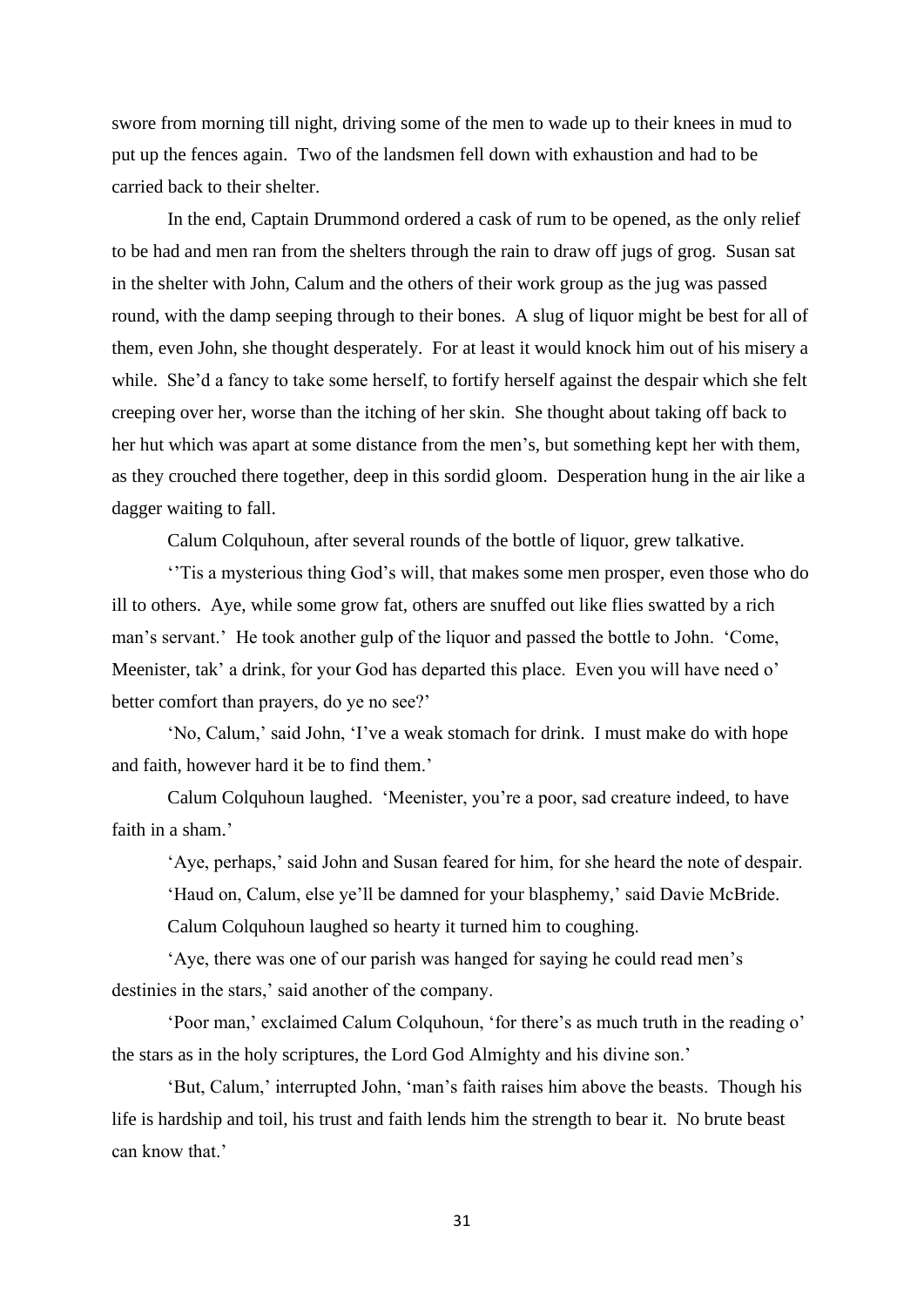swore from morning till night, driving some of the men to wade up to their knees in mud to put up the fences again. Two of the landsmen fell down with exhaustion and had to be carried back to their shelter.

In the end, Captain Drummond ordered a cask of rum to be opened, as the only relief to be had and men ran from the shelters through the rain to draw off jugs of grog. Susan sat in the shelter with John, Calum and the others of their work group as the jug was passed round, with the damp seeping through to their bones. A slug of liquor might be best for all of them, even John, she thought desperately. For at least it would knock him out of his misery a while. She'd a fancy to take some herself, to fortify herself against the despair which she felt creeping over her, worse than the itching of her skin. She thought about taking off back to her hut which was apart at some distance from the men's, but something kept her with them, as they crouched there together, deep in this sordid gloom. Desperation hung in the air like a dagger waiting to fall.

Calum Colquhoun, after several rounds of the bottle of liquor, grew talkative.

''Tis a mysterious thing God's will, that makes some men prosper, even those who do ill to others. Aye, while some grow fat, others are snuffed out like flies swatted by a rich man's servant.' He took another gulp of the liquor and passed the bottle to John. 'Come, Meenister, tak' a drink, for your God has departed this place. Even you will have need o' better comfort than prayers, do ye no see?'

'No, Calum,' said John, 'I've a weak stomach for drink. I must make do with hope and faith, however hard it be to find them.'

Calum Colquhoun laughed. 'Meenister, you're a poor, sad creature indeed, to have faith in a sham.'

'Aye, perhaps,' said John and Susan feared for him, for she heard the note of despair.

'Haud on, Calum, else ye'll be damned for your blasphemy,' said Davie McBride.

Calum Colquhoun laughed so hearty it turned him to coughing.

'Aye, there was one of our parish was hanged for saying he could read men's destinies in the stars,' said another of the company.

'Poor man,' exclaimed Calum Colquhoun, 'for there's as much truth in the reading o' the stars as in the holy scriptures, the Lord God Almighty and his divine son.'

'But, Calum,' interrupted John, 'man's faith raises him above the beasts. Though his life is hardship and toil, his trust and faith lends him the strength to bear it. No brute beast can know that.'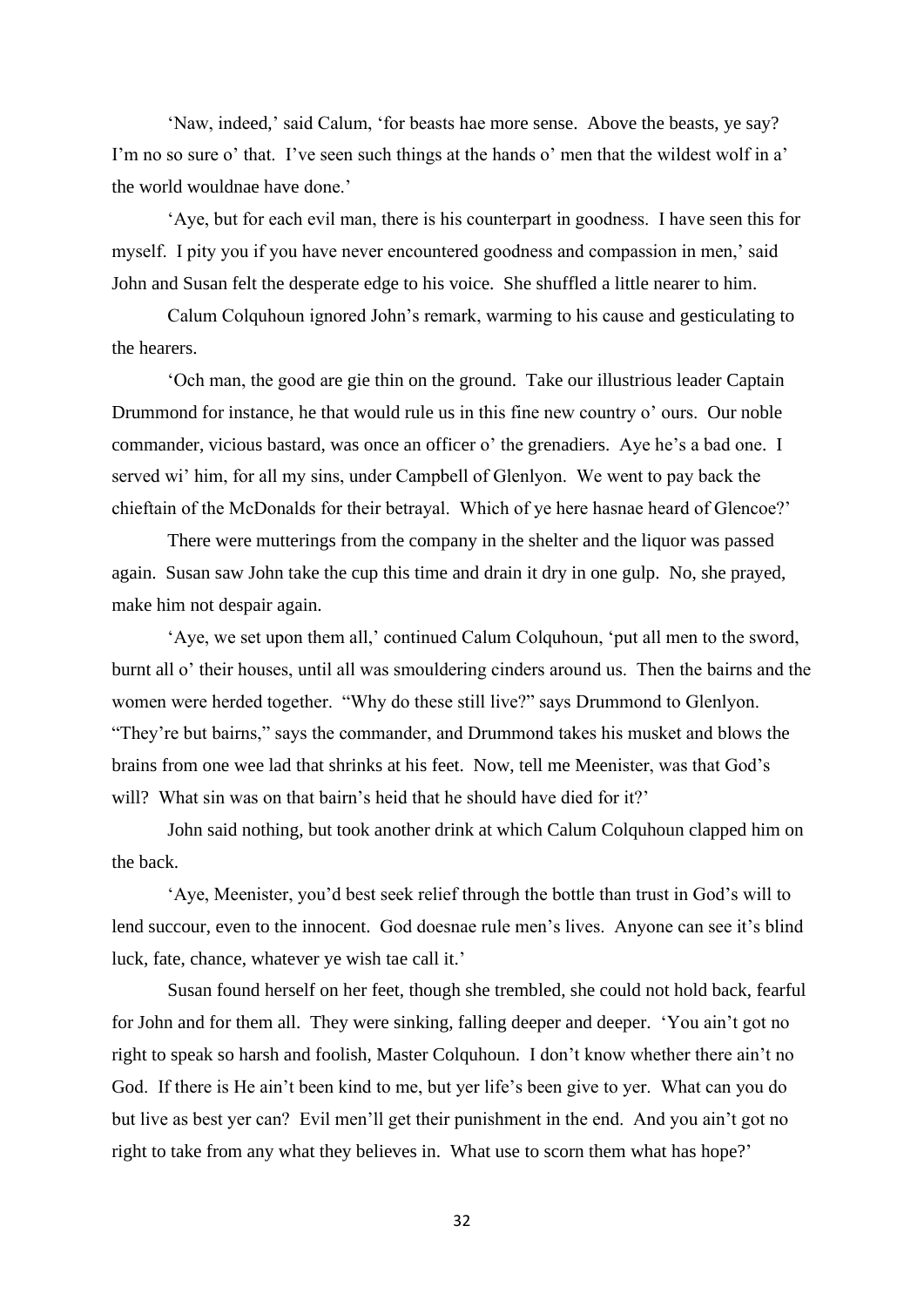'Naw, indeed,' said Calum, 'for beasts hae more sense. Above the beasts, ye say? I'm no so sure o' that. I've seen such things at the hands o' men that the wildest wolf in a' the world wouldnae have done.'

'Aye, but for each evil man, there is his counterpart in goodness. I have seen this for myself. I pity you if you have never encountered goodness and compassion in men,' said John and Susan felt the desperate edge to his voice. She shuffled a little nearer to him.

Calum Colquhoun ignored John's remark, warming to his cause and gesticulating to the hearers.

'Och man, the good are gie thin on the ground. Take our illustrious leader Captain Drummond for instance, he that would rule us in this fine new country o' ours. Our noble commander, vicious bastard, was once an officer o' the grenadiers. Aye he's a bad one. I served wi' him, for all my sins, under Campbell of Glenlyon. We went to pay back the chieftain of the McDonalds for their betrayal. Which of ye here hasnae heard of Glencoe?'

There were mutterings from the company in the shelter and the liquor was passed again. Susan saw John take the cup this time and drain it dry in one gulp. No, she prayed, make him not despair again.

'Aye, we set upon them all,' continued Calum Colquhoun, 'put all men to the sword, burnt all o' their houses, until all was smouldering cinders around us. Then the bairns and the women were herded together. "Why do these still live?" says Drummond to Glenlyon. "They're but bairns," says the commander, and Drummond takes his musket and blows the brains from one wee lad that shrinks at his feet. Now, tell me Meenister, was that God's will? What sin was on that bairn's heid that he should have died for it?'

John said nothing, but took another drink at which Calum Colquhoun clapped him on the back.

'Aye, Meenister, you'd best seek relief through the bottle than trust in God's will to lend succour, even to the innocent. God doesnae rule men's lives. Anyone can see it's blind luck, fate, chance, whatever ye wish tae call it.'

Susan found herself on her feet, though she trembled, she could not hold back, fearful for John and for them all. They were sinking, falling deeper and deeper. 'You ain't got no right to speak so harsh and foolish, Master Colquhoun. I don't know whether there ain't no God. If there is He ain't been kind to me, but yer life's been give to yer. What can you do but live as best yer can? Evil men'll get their punishment in the end. And you ain't got no right to take from any what they believes in. What use to scorn them what has hope?'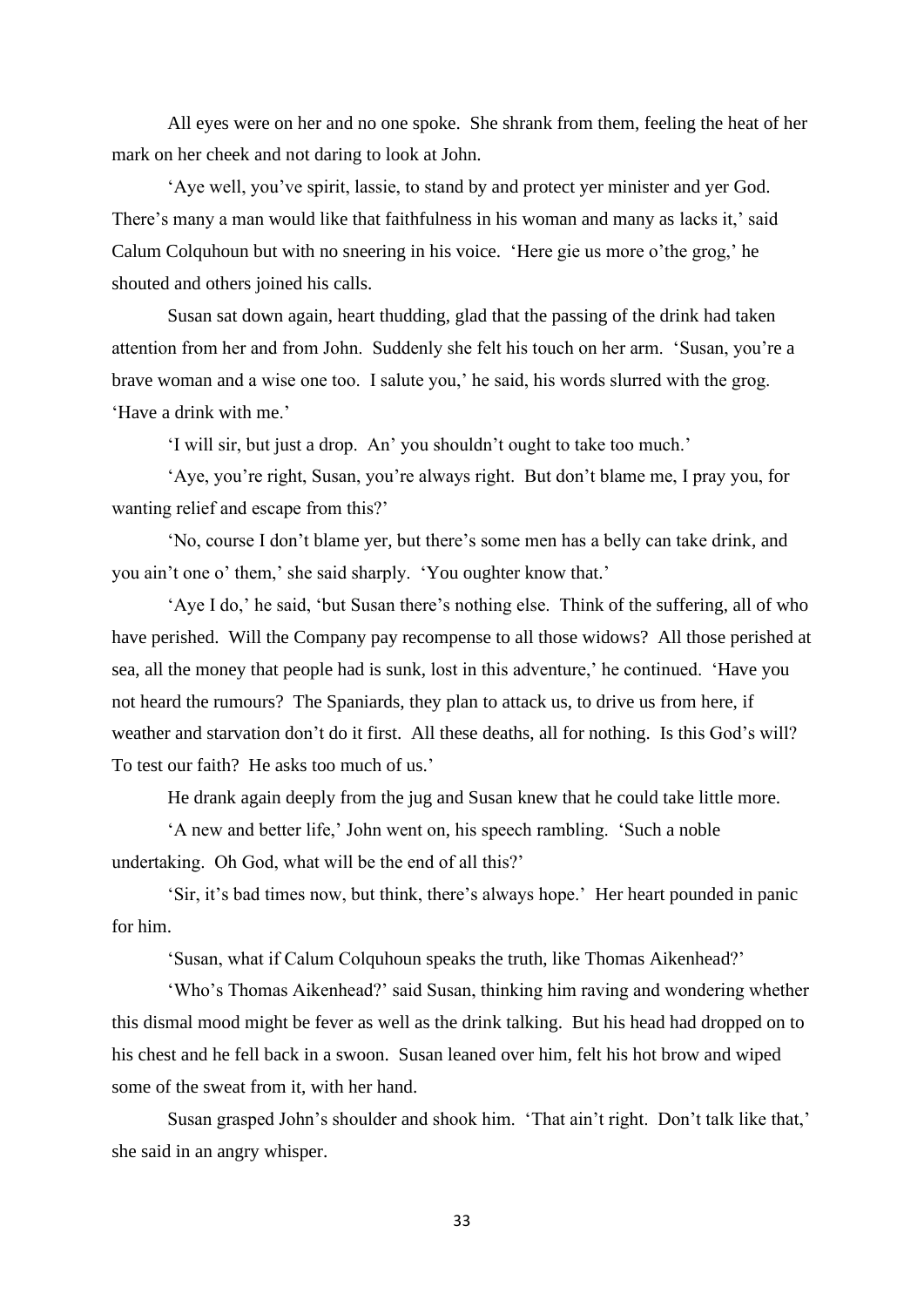All eyes were on her and no one spoke. She shrank from them, feeling the heat of her mark on her cheek and not daring to look at John.

'Aye well, you've spirit, lassie, to stand by and protect yer minister and yer God. There's many a man would like that faithfulness in his woman and many as lacks it,' said Calum Colquhoun but with no sneering in his voice. 'Here gie us more o'the grog,' he shouted and others joined his calls.

Susan sat down again, heart thudding, glad that the passing of the drink had taken attention from her and from John. Suddenly she felt his touch on her arm. 'Susan, you're a brave woman and a wise one too. I salute you,' he said, his words slurred with the grog. 'Have a drink with me.'

'I will sir, but just a drop. An' you shouldn't ought to take too much.'

'Aye, you're right, Susan, you're always right. But don't blame me, I pray you, for wanting relief and escape from this?'

'No, course I don't blame yer, but there's some men has a belly can take drink, and you ain't one o' them,' she said sharply. 'You oughter know that.'

'Aye I do,' he said, 'but Susan there's nothing else. Think of the suffering, all of who have perished. Will the Company pay recompense to all those widows? All those perished at sea, all the money that people had is sunk, lost in this adventure,' he continued. 'Have you not heard the rumours? The Spaniards, they plan to attack us, to drive us from here, if weather and starvation don't do it first. All these deaths, all for nothing. Is this God's will? To test our faith? He asks too much of us.'

He drank again deeply from the jug and Susan knew that he could take little more.

'A new and better life,' John went on, his speech rambling. 'Such a noble undertaking. Oh God, what will be the end of all this?'

'Sir, it's bad times now, but think, there's always hope.' Her heart pounded in panic for him.

'Susan, what if Calum Colquhoun speaks the truth, like Thomas Aikenhead?'

'Who's Thomas Aikenhead?' said Susan, thinking him raving and wondering whether this dismal mood might be fever as well as the drink talking. But his head had dropped on to his chest and he fell back in a swoon. Susan leaned over him, felt his hot brow and wiped some of the sweat from it, with her hand.

Susan grasped John's shoulder and shook him. 'That ain't right. Don't talk like that,' she said in an angry whisper.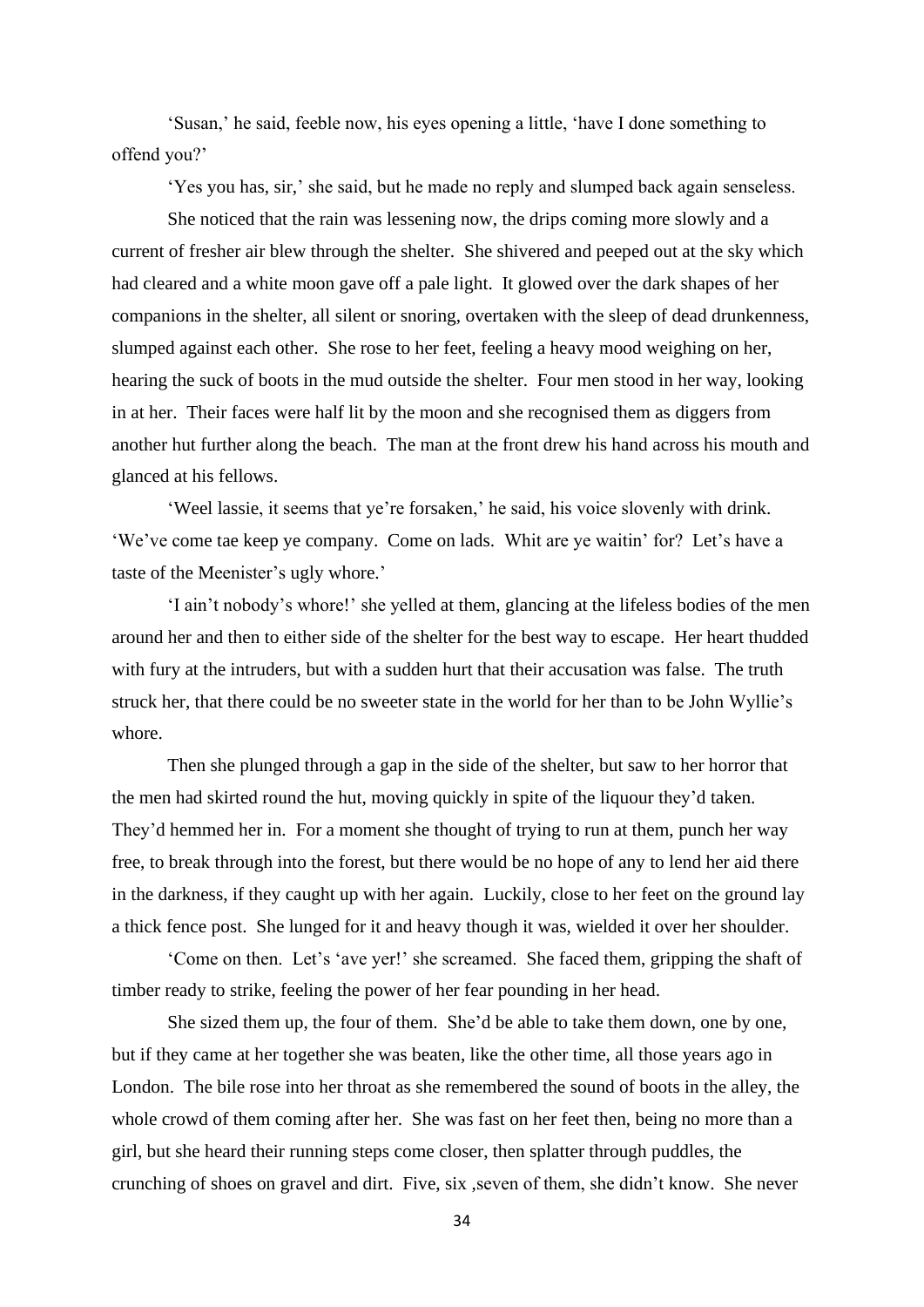'Susan,' he said, feeble now, his eyes opening a little, 'have I done something to offend you?'

'Yes you has, sir,' she said, but he made no reply and slumped back again senseless.

She noticed that the rain was lessening now, the drips coming more slowly and a current of fresher air blew through the shelter. She shivered and peeped out at the sky which had cleared and a white moon gave off a pale light. It glowed over the dark shapes of her companions in the shelter, all silent or snoring, overtaken with the sleep of dead drunkenness, slumped against each other. She rose to her feet, feeling a heavy mood weighing on her, hearing the suck of boots in the mud outside the shelter. Four men stood in her way, looking in at her. Their faces were half lit by the moon and she recognised them as diggers from another hut further along the beach. The man at the front drew his hand across his mouth and glanced at his fellows.

'Weel lassie, it seems that ye're forsaken,' he said, his voice slovenly with drink. 'We've come tae keep ye company. Come on lads. Whit are ye waitin' for? Let's have a taste of the Meenister's ugly whore.'

'I ain't nobody's whore!' she yelled at them, glancing at the lifeless bodies of the men around her and then to either side of the shelter for the best way to escape. Her heart thudded with fury at the intruders, but with a sudden hurt that their accusation was false. The truth struck her, that there could be no sweeter state in the world for her than to be John Wyllie's whore.

Then she plunged through a gap in the side of the shelter, but saw to her horror that the men had skirted round the hut, moving quickly in spite of the liquour they'd taken. They'd hemmed her in. For a moment she thought of trying to run at them, punch her way free, to break through into the forest, but there would be no hope of any to lend her aid there in the darkness, if they caught up with her again. Luckily, close to her feet on the ground lay a thick fence post. She lunged for it and heavy though it was, wielded it over her shoulder.

'Come on then. Let's 'ave yer!' she screamed. She faced them, gripping the shaft of timber ready to strike, feeling the power of her fear pounding in her head.

She sized them up, the four of them. She'd be able to take them down, one by one, but if they came at her together she was beaten, like the other time, all those years ago in London. The bile rose into her throat as she remembered the sound of boots in the alley, the whole crowd of them coming after her. She was fast on her feet then, being no more than a girl, but she heard their running steps come closer, then splatter through puddles, the crunching of shoes on gravel and dirt. Five, six ,seven of them, she didn't know. She never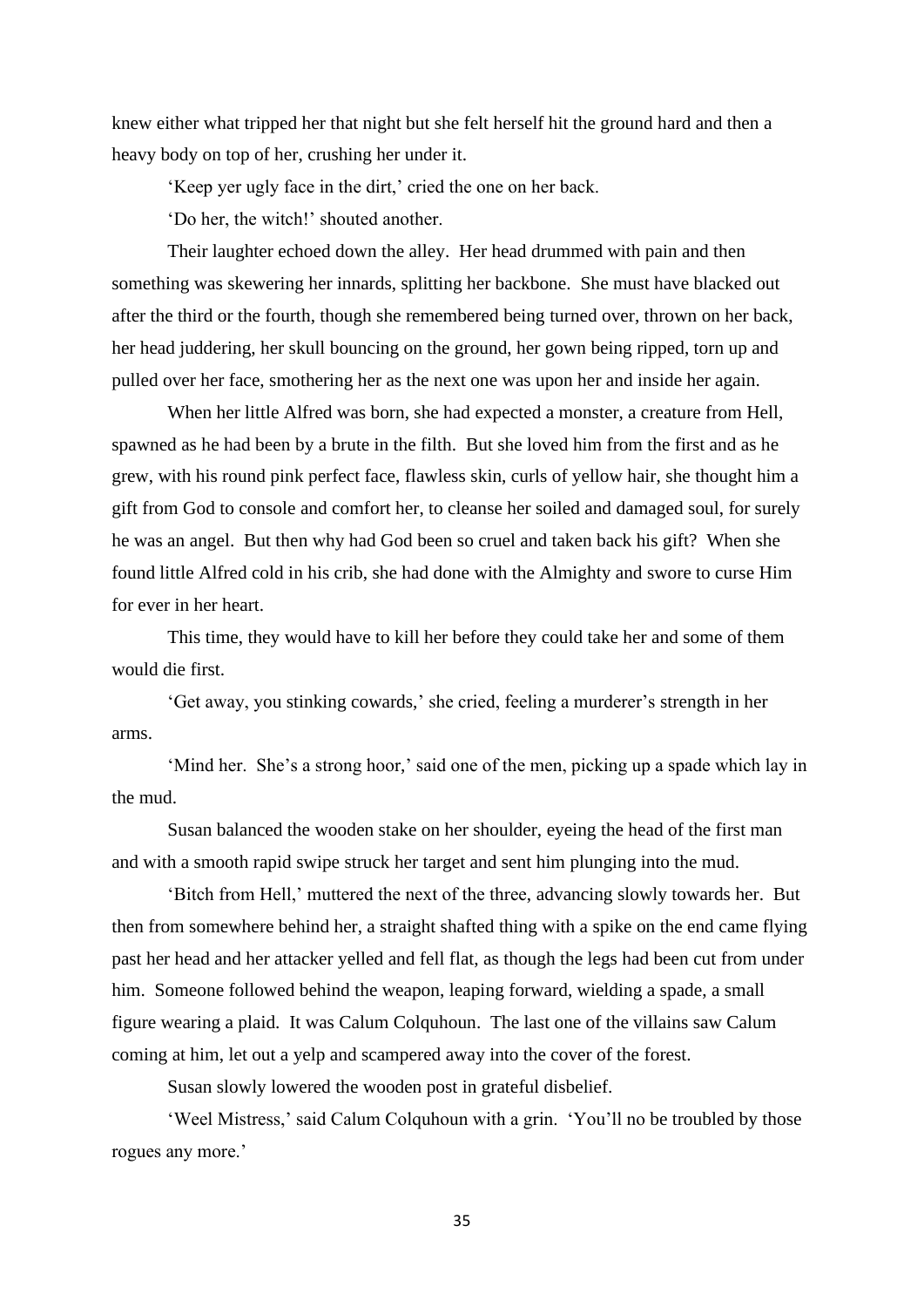knew either what tripped her that night but she felt herself hit the ground hard and then a heavy body on top of her, crushing her under it.

'Keep yer ugly face in the dirt,' cried the one on her back.

'Do her, the witch!' shouted another.

Their laughter echoed down the alley. Her head drummed with pain and then something was skewering her innards, splitting her backbone. She must have blacked out after the third or the fourth, though she remembered being turned over, thrown on her back, her head juddering, her skull bouncing on the ground, her gown being ripped, torn up and pulled over her face, smothering her as the next one was upon her and inside her again.

When her little Alfred was born, she had expected a monster, a creature from Hell, spawned as he had been by a brute in the filth. But she loved him from the first and as he grew, with his round pink perfect face, flawless skin, curls of yellow hair, she thought him a gift from God to console and comfort her, to cleanse her soiled and damaged soul, for surely he was an angel. But then why had God been so cruel and taken back his gift? When she found little Alfred cold in his crib, she had done with the Almighty and swore to curse Him for ever in her heart.

This time, they would have to kill her before they could take her and some of them would die first.

'Get away, you stinking cowards,' she cried, feeling a murderer's strength in her arms.

'Mind her. She's a strong hoor,' said one of the men, picking up a spade which lay in the mud.

Susan balanced the wooden stake on her shoulder, eyeing the head of the first man and with a smooth rapid swipe struck her target and sent him plunging into the mud.

'Bitch from Hell,' muttered the next of the three, advancing slowly towards her. But then from somewhere behind her, a straight shafted thing with a spike on the end came flying past her head and her attacker yelled and fell flat, as though the legs had been cut from under him. Someone followed behind the weapon, leaping forward, wielding a spade, a small figure wearing a plaid. It was Calum Colquhoun. The last one of the villains saw Calum coming at him, let out a yelp and scampered away into the cover of the forest.

Susan slowly lowered the wooden post in grateful disbelief.

'Weel Mistress,' said Calum Colquhoun with a grin. 'You'll no be troubled by those rogues any more.'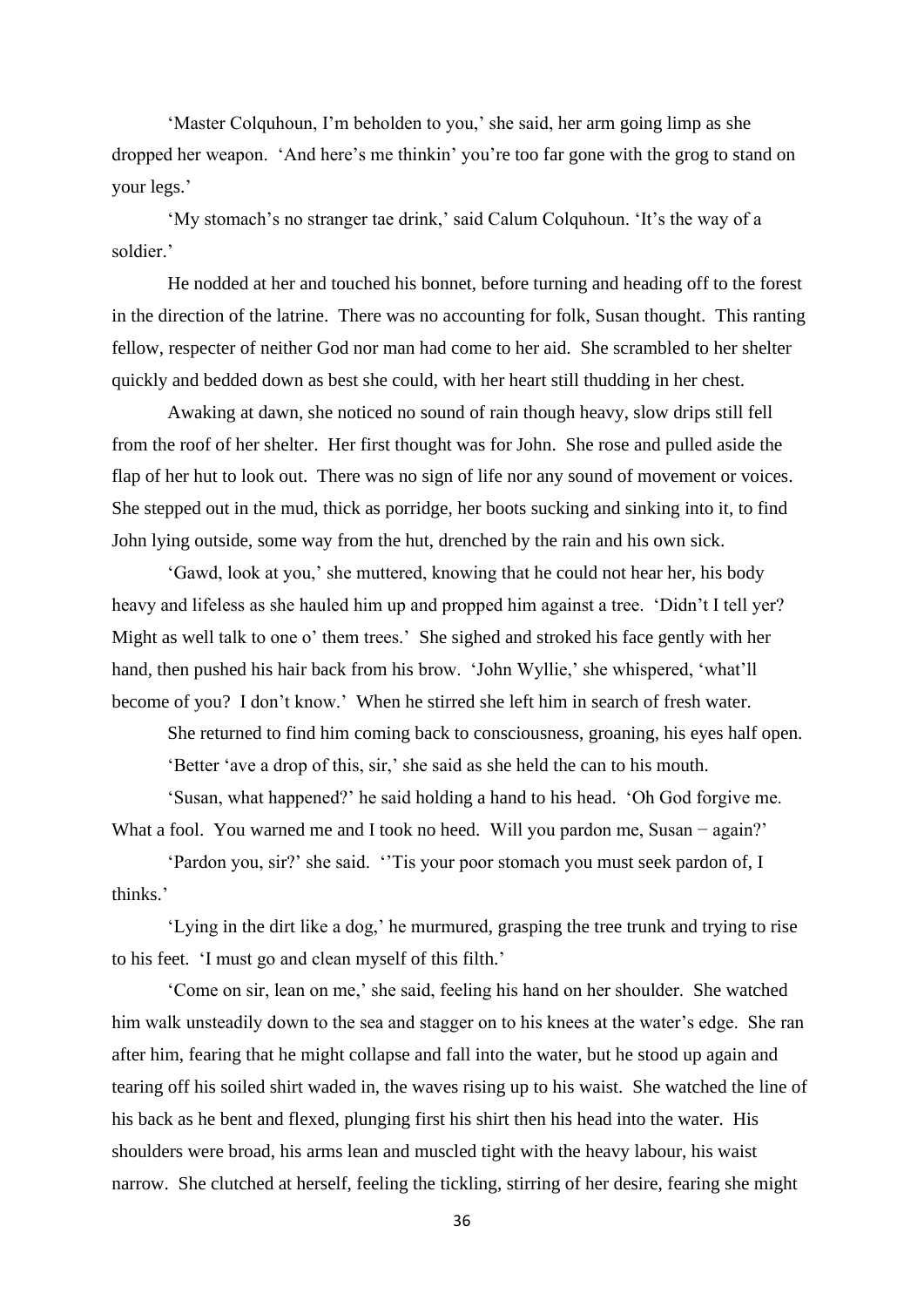'Master Colquhoun, I'm beholden to you,' she said, her arm going limp as she dropped her weapon. 'And here's me thinkin' you're too far gone with the grog to stand on your legs.'

'My stomach's no stranger tae drink,' said Calum Colquhoun. 'It's the way of a soldier.'

He nodded at her and touched his bonnet, before turning and heading off to the forest in the direction of the latrine. There was no accounting for folk, Susan thought. This ranting fellow, respecter of neither God nor man had come to her aid. She scrambled to her shelter quickly and bedded down as best she could, with her heart still thudding in her chest.

Awaking at dawn, she noticed no sound of rain though heavy, slow drips still fell from the roof of her shelter. Her first thought was for John. She rose and pulled aside the flap of her hut to look out. There was no sign of life nor any sound of movement or voices. She stepped out in the mud, thick as porridge, her boots sucking and sinking into it, to find John lying outside, some way from the hut, drenched by the rain and his own sick.

'Gawd, look at you,' she muttered, knowing that he could not hear her, his body heavy and lifeless as she hauled him up and propped him against a tree. 'Didn't I tell yer? Might as well talk to one o' them trees.' She sighed and stroked his face gently with her hand, then pushed his hair back from his brow. 'John Wyllie,' she whispered, 'what'll become of you? I don't know.' When he stirred she left him in search of fresh water.

She returned to find him coming back to consciousness, groaning, his eyes half open. 'Better 'ave a drop of this, sir,' she said as she held the can to his mouth.

'Susan, what happened?' he said holding a hand to his head. 'Oh God forgive me. What a fool. You warned me and I took no heed. Will you pardon me, Susan – again?'

'Pardon you, sir?' she said. ''Tis your poor stomach you must seek pardon of, I thinks.'

'Lying in the dirt like a dog,' he murmured, grasping the tree trunk and trying to rise to his feet. 'I must go and clean myself of this filth.'

'Come on sir, lean on me,' she said, feeling his hand on her shoulder. She watched him walk unsteadily down to the sea and stagger on to his knees at the water's edge. She ran after him, fearing that he might collapse and fall into the water, but he stood up again and tearing off his soiled shirt waded in, the waves rising up to his waist. She watched the line of his back as he bent and flexed, plunging first his shirt then his head into the water. His shoulders were broad, his arms lean and muscled tight with the heavy labour, his waist narrow. She clutched at herself, feeling the tickling, stirring of her desire, fearing she might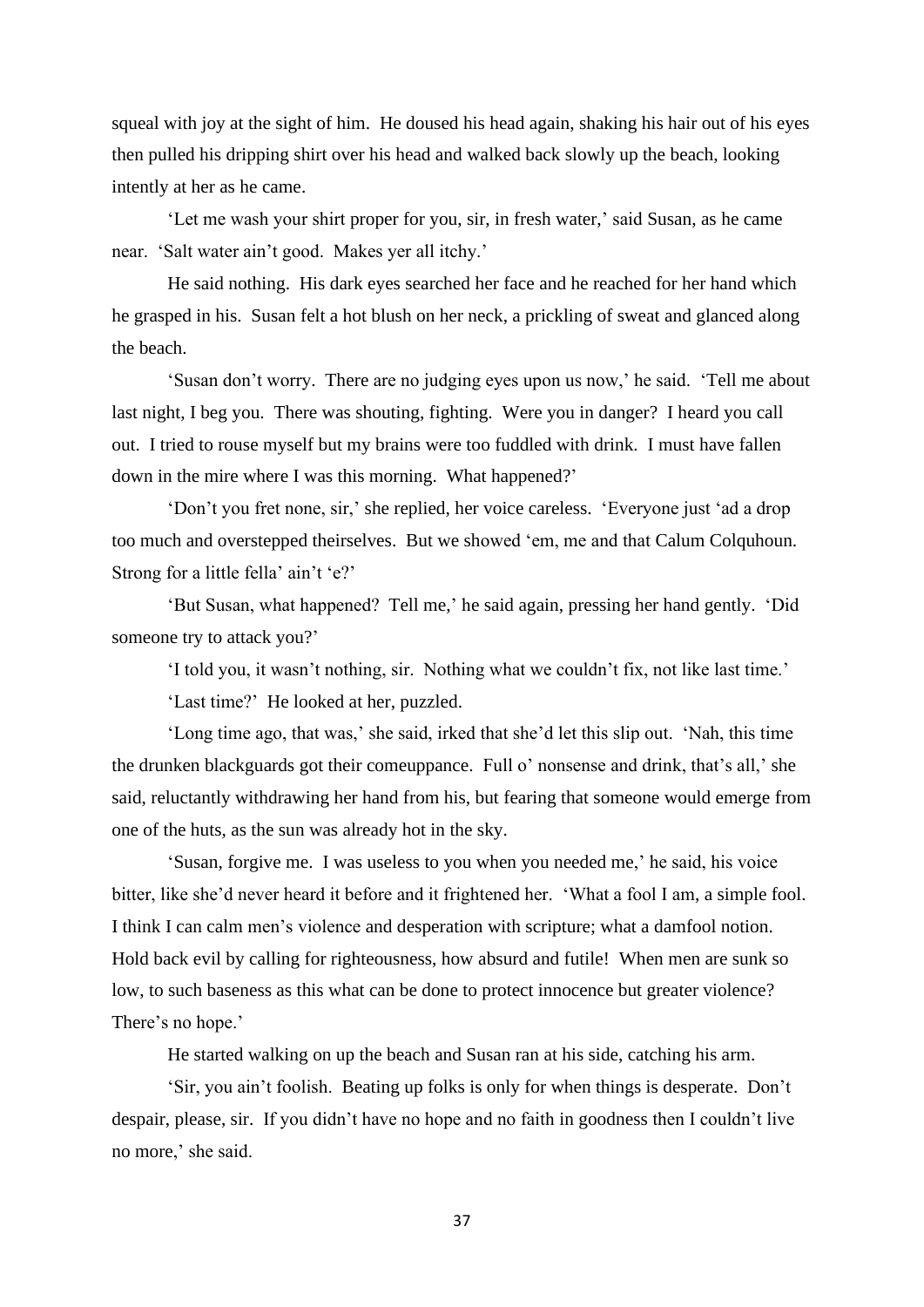squeal with joy at the sight of him. He doused his head again, shaking his hair out of his eyes then pulled his dripping shirt over his head and walked back slowly up the beach, looking intently at her as he came.

'Let me wash your shirt proper for you, sir, in fresh water,' said Susan, as he came near. 'Salt water ain't good. Makes yer all itchy.'

He said nothing. His dark eyes searched her face and he reached for her hand which he grasped in his. Susan felt a hot blush on her neck, a prickling of sweat and glanced along the beach.

'Susan don't worry. There are no judging eyes upon us now,' he said. 'Tell me about last night, I beg you. There was shouting, fighting. Were you in danger? I heard you call out. I tried to rouse myself but my brains were too fuddled with drink. I must have fallen down in the mire where I was this morning. What happened?'

'Don't you fret none, sir,' she replied, her voice careless. 'Everyone just 'ad a drop too much and overstepped theirselves. But we showed 'em, me and that Calum Colquhoun. Strong for a little fella' ain't 'e?'

'But Susan, what happened? Tell me,' he said again, pressing her hand gently. 'Did someone try to attack you?'

'I told you, it wasn't nothing, sir. Nothing what we couldn't fix, not like last time.'

'Last time?' He looked at her, puzzled.

'Long time ago, that was,' she said, irked that she'd let this slip out. 'Nah, this time the drunken blackguards got their comeuppance. Full o' nonsense and drink, that's all,' she said, reluctantly withdrawing her hand from his, but fearing that someone would emerge from one of the huts, as the sun was already hot in the sky.

'Susan, forgive me. I was useless to you when you needed me,' he said, his voice bitter, like she'd never heard it before and it frightened her. 'What a fool I am, a simple fool. I think I can calm men's violence and desperation with scripture; what a damfool notion. Hold back evil by calling for righteousness, how absurd and futile! When men are sunk so low, to such baseness as this what can be done to protect innocence but greater violence? There's no hope.'

He started walking on up the beach and Susan ran at his side, catching his arm.

'Sir, you ain't foolish. Beating up folks is only for when things is desperate. Don't despair, please, sir. If you didn't have no hope and no faith in goodness then I couldn't live no more,' she said.